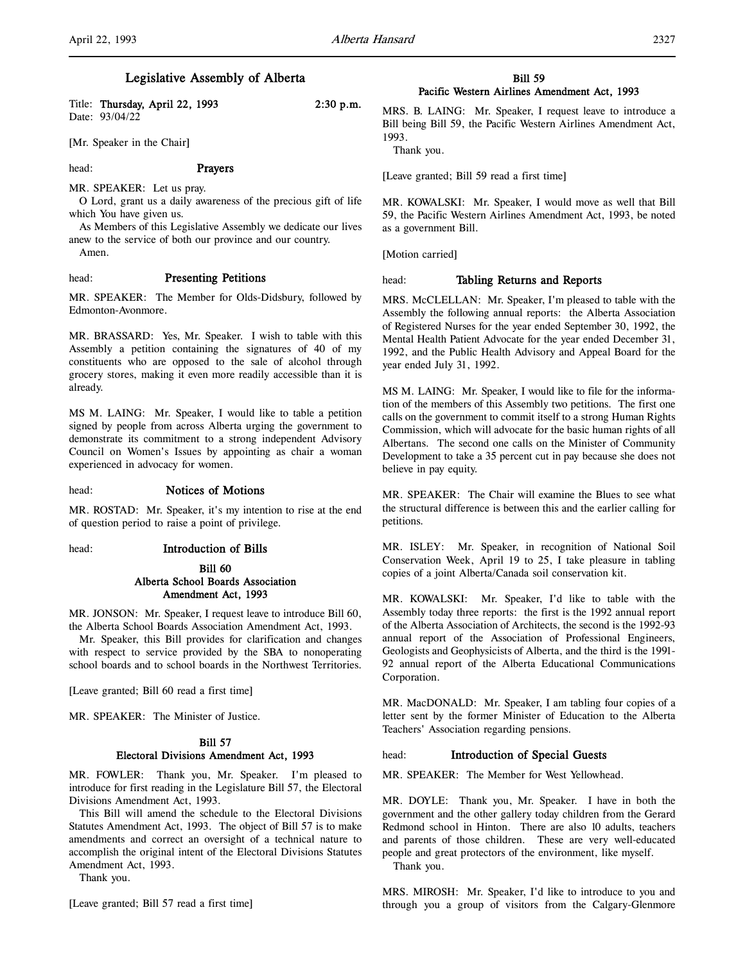## Legislative Assembly of Alberta

| Title: Thursday, April 22, 1993 | $2:30$ p.m. |
|---------------------------------|-------------|
| Date: 93/04/22                  |             |

[Mr. Speaker in the Chair]

#### head: **Prayers**

MR. SPEAKER: Let us pray.

O Lord, grant us a daily awareness of the precious gift of life which You have given us.

As Members of this Legislative Assembly we dedicate our lives anew to the service of both our province and our country. Amen.

#### head: Presenting Petitions

MR. SPEAKER: The Member for Olds-Didsbury, followed by Edmonton-Avonmore.

MR. BRASSARD: Yes, Mr. Speaker. I wish to table with this Assembly a petition containing the signatures of 40 of my constituents who are opposed to the sale of alcohol through grocery stores, making it even more readily accessible than it is already.

MS M. LAING: Mr. Speaker, I would like to table a petition signed by people from across Alberta urging the government to demonstrate its commitment to a strong independent Advisory Council on Women's Issues by appointing as chair a woman experienced in advocacy for women.

#### head: Notices of Motions

MR. ROSTAD: Mr. Speaker, it's my intention to rise at the end of question period to raise a point of privilege.

#### head: Introduction of Bills

## Bill 60 Alberta School Boards Association Amendment Act, 1993

MR. JONSON: Mr. Speaker, I request leave to introduce Bill 60, the Alberta School Boards Association Amendment Act, 1993.

Mr. Speaker, this Bill provides for clarification and changes with respect to service provided by the SBA to nonoperating school boards and to school boards in the Northwest Territories.

[Leave granted; Bill 60 read a first time]

MR. SPEAKER: The Minister of Justice.

## Bill 57 Electoral Divisions Amendment Act, 1993

MR. FOWLER: Thank you, Mr. Speaker. I'm pleased to introduce for first reading in the Legislature Bill 57, the Electoral Divisions Amendment Act, 1993.

This Bill will amend the schedule to the Electoral Divisions Statutes Amendment Act, 1993. The object of Bill 57 is to make amendments and correct an oversight of a technical nature to accomplish the original intent of the Electoral Divisions Statutes Amendment Act, 1993.

Thank you.

[Leave granted; Bill 57 read a first time]

## **Bill 59** Pacific Western Airlines Amendment Act, 1993

MRS. B. LAING: Mr. Speaker, I request leave to introduce a Bill being Bill 59, the Pacific Western Airlines Amendment Act, 1993.

Thank you.

[Leave granted; Bill 59 read a first time]

MR. KOWALSKI: Mr. Speaker, I would move as well that Bill 59, the Pacific Western Airlines Amendment Act, 1993, be noted as a government Bill.

[Motion carried]

#### head: Tabling Returns and Reports

MRS. McCLELLAN: Mr. Speaker, I'm pleased to table with the Assembly the following annual reports: the Alberta Association of Registered Nurses for the year ended September 30, 1992, the Mental Health Patient Advocate for the year ended December 31, 1992, and the Public Health Advisory and Appeal Board for the year ended July 31, 1992.

MS M. LAING: Mr. Speaker, I would like to file for the information of the members of this Assembly two petitions. The first one calls on the government to commit itself to a strong Human Rights Commission, which will advocate for the basic human rights of all Albertans. The second one calls on the Minister of Community Development to take a 35 percent cut in pay because she does not believe in pay equity.

MR. SPEAKER: The Chair will examine the Blues to see what the structural difference is between this and the earlier calling for petitions.

MR. ISLEY: Mr. Speaker, in recognition of National Soil Conservation Week, April 19 to 25, I take pleasure in tabling copies of a joint Alberta/Canada soil conservation kit.

MR. KOWALSKI: Mr. Speaker, I'd like to table with the Assembly today three reports: the first is the 1992 annual report of the Alberta Association of Architects, the second is the 1992-93 annual report of the Association of Professional Engineers, Geologists and Geophysicists of Alberta, and the third is the 1991- 92 annual report of the Alberta Educational Communications Corporation.

MR. MacDONALD: Mr. Speaker, I am tabling four copies of a letter sent by the former Minister of Education to the Alberta Teachers' Association regarding pensions.

## head: **Introduction of Special Guests**

MR. SPEAKER: The Member for West Yellowhead.

MR. DOYLE: Thank you, Mr. Speaker. I have in both the government and the other gallery today children from the Gerard Redmond school in Hinton. There are also 10 adults, teachers and parents of those children. These are very well-educated people and great protectors of the environment, like myself. Thank you.

MRS. MIROSH: Mr. Speaker, I'd like to introduce to you and through you a group of visitors from the Calgary-Glenmore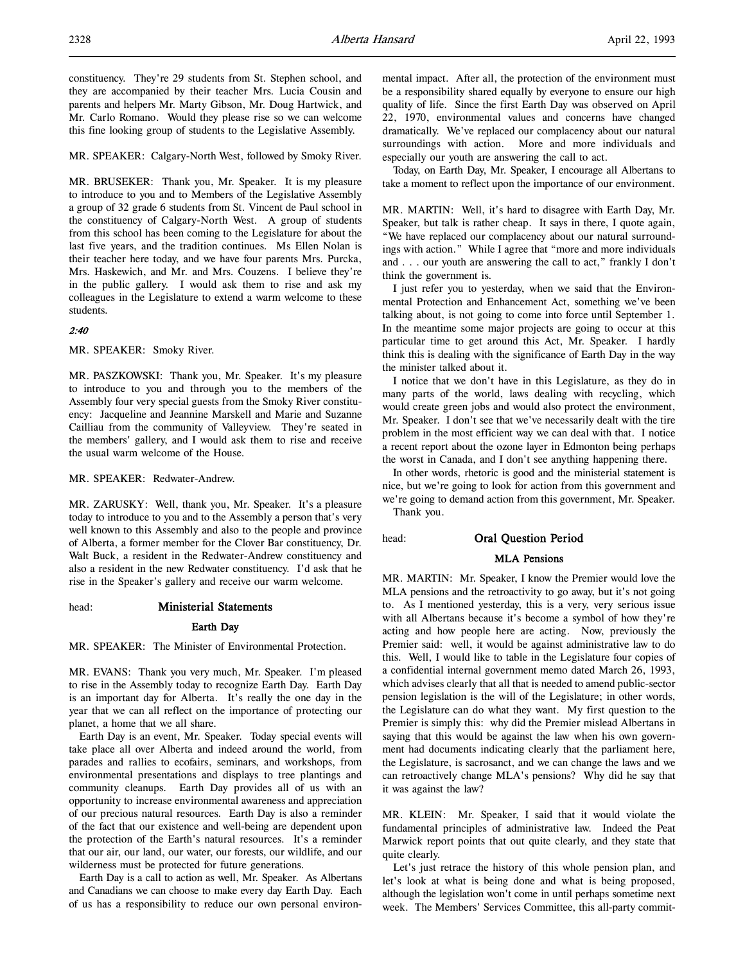constituency. They're 29 students from St. Stephen school, and they are accompanied by their teacher Mrs. Lucia Cousin and parents and helpers Mr. Marty Gibson, Mr. Doug Hartwick, and Mr. Carlo Romano. Would they please rise so we can welcome this fine looking group of students to the Legislative Assembly.

MR. SPEAKER: Calgary-North West, followed by Smoky River.

MR. BRUSEKER: Thank you, Mr. Speaker. It is my pleasure to introduce to you and to Members of the Legislative Assembly a group of 32 grade 6 students from St. Vincent de Paul school in the constituency of Calgary-North West. A group of students from this school has been coming to the Legislature for about the last five years, and the tradition continues. Ms Ellen Nolan is their teacher here today, and we have four parents Mrs. Purcka, Mrs. Haskewich, and Mr. and Mrs. Couzens. I believe they're in the public gallery. I would ask them to rise and ask my colleagues in the Legislature to extend a warm welcome to these students.

#### 2:40

MR. SPEAKER: Smoky River.

MR. PASZKOWSKI: Thank you, Mr. Speaker. It's my pleasure to introduce to you and through you to the members of the Assembly four very special guests from the Smoky River constituency: Jacqueline and Jeannine Marskell and Marie and Suzanne Cailliau from the community of Valleyview. They're seated in the members' gallery, and I would ask them to rise and receive the usual warm welcome of the House.

MR. SPEAKER: Redwater-Andrew.

MR. ZARUSKY: Well, thank you, Mr. Speaker. It's a pleasure today to introduce to you and to the Assembly a person that's very well known to this Assembly and also to the people and province of Alberta, a former member for the Clover Bar constituency, Dr. Walt Buck, a resident in the Redwater-Andrew constituency and also a resident in the new Redwater constituency. I'd ask that he rise in the Speaker's gallery and receive our warm welcome.

#### head: Ministerial Statements

#### Earth Day

MR. SPEAKER: The Minister of Environmental Protection.

MR. EVANS: Thank you very much, Mr. Speaker. I'm pleased to rise in the Assembly today to recognize Earth Day. Earth Day is an important day for Alberta. It's really the one day in the year that we can all reflect on the importance of protecting our planet, a home that we all share.

Earth Day is an event, Mr. Speaker. Today special events will take place all over Alberta and indeed around the world, from parades and rallies to ecofairs, seminars, and workshops, from environmental presentations and displays to tree plantings and community cleanups. Earth Day provides all of us with an opportunity to increase environmental awareness and appreciation of our precious natural resources. Earth Day is also a reminder of the fact that our existence and well-being are dependent upon the protection of the Earth's natural resources. It's a reminder that our air, our land, our water, our forests, our wildlife, and our wilderness must be protected for future generations.

Earth Day is a call to action as well, Mr. Speaker. As Albertans and Canadians we can choose to make every day Earth Day. Each of us has a responsibility to reduce our own personal environmental impact. After all, the protection of the environment must be a responsibility shared equally by everyone to ensure our high quality of life. Since the first Earth Day was observed on April 22, 1970, environmental values and concerns have changed dramatically. We've replaced our complacency about our natural surroundings with action. More and more individuals and especially our youth are answering the call to act.

Today, on Earth Day, Mr. Speaker, I encourage all Albertans to take a moment to reflect upon the importance of our environment.

MR. MARTIN: Well, it's hard to disagree with Earth Day, Mr. Speaker, but talk is rather cheap. It says in there, I quote again, "We have replaced our complacency about our natural surroundings with action." While I agree that "more and more individuals and . . . our youth are answering the call to act," frankly I don't think the government is.

I just refer you to yesterday, when we said that the Environmental Protection and Enhancement Act, something we've been talking about, is not going to come into force until September 1. In the meantime some major projects are going to occur at this particular time to get around this Act, Mr. Speaker. I hardly think this is dealing with the significance of Earth Day in the way the minister talked about it.

I notice that we don't have in this Legislature, as they do in many parts of the world, laws dealing with recycling, which would create green jobs and would also protect the environment, Mr. Speaker. I don't see that we've necessarily dealt with the tire problem in the most efficient way we can deal with that. I notice a recent report about the ozone layer in Edmonton being perhaps the worst in Canada, and I don't see anything happening there.

In other words, rhetoric is good and the ministerial statement is nice, but we're going to look for action from this government and we're going to demand action from this government, Mr. Speaker. Thank you.

## head: Oral Question Period

## MLA Pensions

MR. MARTIN: Mr. Speaker, I know the Premier would love the MLA pensions and the retroactivity to go away, but it's not going to. As I mentioned yesterday, this is a very, very serious issue with all Albertans because it's become a symbol of how they're acting and how people here are acting. Now, previously the Premier said: well, it would be against administrative law to do this. Well, I would like to table in the Legislature four copies of a confidential internal government memo dated March 26, 1993, which advises clearly that all that is needed to amend public-sector pension legislation is the will of the Legislature; in other words, the Legislature can do what they want. My first question to the Premier is simply this: why did the Premier mislead Albertans in saying that this would be against the law when his own government had documents indicating clearly that the parliament here, the Legislature, is sacrosanct, and we can change the laws and we can retroactively change MLA's pensions? Why did he say that it was against the law?

MR. KLEIN: Mr. Speaker, I said that it would violate the fundamental principles of administrative law. Indeed the Peat Marwick report points that out quite clearly, and they state that quite clearly.

Let's just retrace the history of this whole pension plan, and let's look at what is being done and what is being proposed, although the legislation won't come in until perhaps sometime next week. The Members' Services Committee, this all-party commit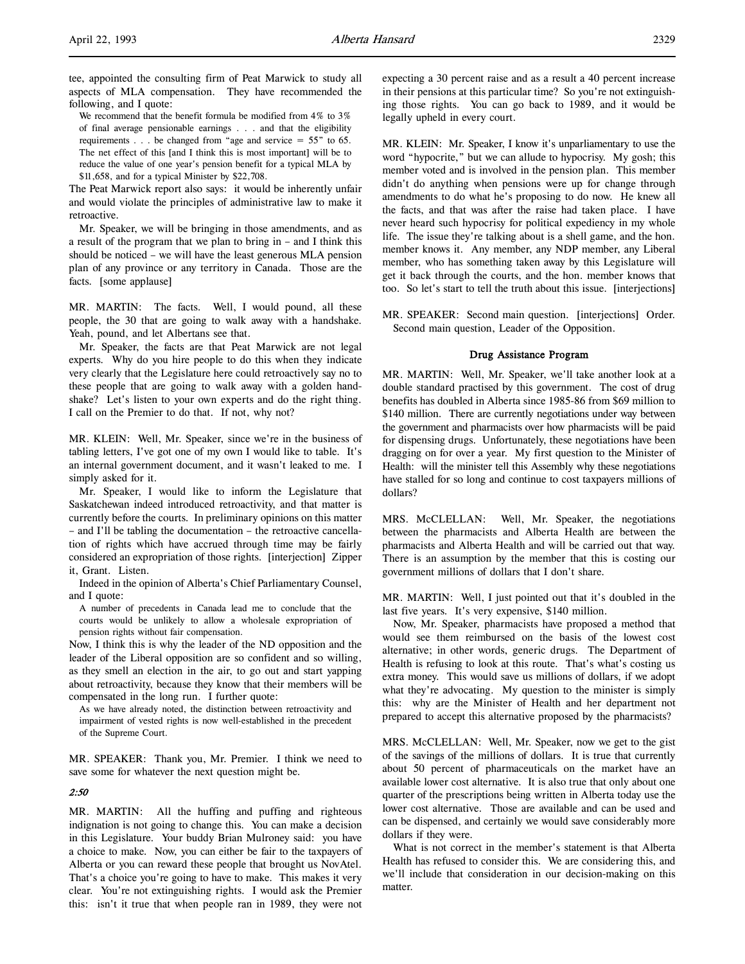tee, appointed the consulting firm of Peat Marwick to study all aspects of MLA compensation. They have recommended the following, and I quote:

We recommend that the benefit formula be modified from 4% to 3% of final average pensionable earnings . . . and that the eligibility requirements . . . be changed from "age and service  $= 55$ " to 65. The net effect of this [and I think this is most important] will be to reduce the value of one year's pension benefit for a typical MLA by \$11,658, and for a typical Minister by \$22,708.

The Peat Marwick report also says: it would be inherently unfair and would violate the principles of administrative law to make it retroactive.

Mr. Speaker, we will be bringing in those amendments, and as a result of the program that we plan to bring in – and I think this should be noticed – we will have the least generous MLA pension plan of any province or any territory in Canada. Those are the facts. [some applause]

MR. MARTIN: The facts. Well, I would pound, all these people, the 30 that are going to walk away with a handshake. Yeah, pound, and let Albertans see that.

Mr. Speaker, the facts are that Peat Marwick are not legal experts. Why do you hire people to do this when they indicate very clearly that the Legislature here could retroactively say no to these people that are going to walk away with a golden handshake? Let's listen to your own experts and do the right thing. I call on the Premier to do that. If not, why not?

MR. KLEIN: Well, Mr. Speaker, since we're in the business of tabling letters, I've got one of my own I would like to table. It's an internal government document, and it wasn't leaked to me. I simply asked for it.

Mr. Speaker, I would like to inform the Legislature that Saskatchewan indeed introduced retroactivity, and that matter is currently before the courts. In preliminary opinions on this matter – and I'll be tabling the documentation – the retroactive cancellation of rights which have accrued through time may be fairly considered an expropriation of those rights. [interjection] Zipper it, Grant. Listen.

Indeed in the opinion of Alberta's Chief Parliamentary Counsel, and I quote:

A number of precedents in Canada lead me to conclude that the courts would be unlikely to allow a wholesale expropriation of pension rights without fair compensation.

Now, I think this is why the leader of the ND opposition and the leader of the Liberal opposition are so confident and so willing, as they smell an election in the air, to go out and start yapping about retroactivity, because they know that their members will be compensated in the long run. I further quote:

As we have already noted, the distinction between retroactivity and impairment of vested rights is now well-established in the precedent of the Supreme Court.

MR. SPEAKER: Thank you, Mr. Premier. I think we need to save some for whatever the next question might be.

## 2:50

MR. MARTIN: All the huffing and puffing and righteous indignation is not going to change this. You can make a decision in this Legislature. Your buddy Brian Mulroney said: you have a choice to make. Now, you can either be fair to the taxpayers of Alberta or you can reward these people that brought us NovAtel. That's a choice you're going to have to make. This makes it very clear. You're not extinguishing rights. I would ask the Premier this: isn't it true that when people ran in 1989, they were not

expecting a 30 percent raise and as a result a 40 percent increase in their pensions at this particular time? So you're not extinguishing those rights. You can go back to 1989, and it would be legally upheld in every court.

MR. KLEIN: Mr. Speaker, I know it's unparliamentary to use the word "hypocrite," but we can allude to hypocrisy. My gosh; this member voted and is involved in the pension plan. This member didn't do anything when pensions were up for change through amendments to do what he's proposing to do now. He knew all the facts, and that was after the raise had taken place. I have never heard such hypocrisy for political expediency in my whole life. The issue they're talking about is a shell game, and the hon. member knows it. Any member, any NDP member, any Liberal member, who has something taken away by this Legislature will get it back through the courts, and the hon. member knows that too. So let's start to tell the truth about this issue. [interjections]

MR. SPEAKER: Second main question. [interjections] Order. Second main question, Leader of the Opposition.

#### Drug Assistance Program

MR. MARTIN: Well, Mr. Speaker, we'll take another look at a double standard practised by this government. The cost of drug benefits has doubled in Alberta since 1985-86 from \$69 million to \$140 million. There are currently negotiations under way between the government and pharmacists over how pharmacists will be paid for dispensing drugs. Unfortunately, these negotiations have been dragging on for over a year. My first question to the Minister of Health: will the minister tell this Assembly why these negotiations have stalled for so long and continue to cost taxpayers millions of dollars?

MRS. McCLELLAN: Well, Mr. Speaker, the negotiations between the pharmacists and Alberta Health are between the pharmacists and Alberta Health and will be carried out that way. There is an assumption by the member that this is costing our government millions of dollars that I don't share.

MR. MARTIN: Well, I just pointed out that it's doubled in the last five years. It's very expensive, \$140 million.

Now, Mr. Speaker, pharmacists have proposed a method that would see them reimbursed on the basis of the lowest cost alternative; in other words, generic drugs. The Department of Health is refusing to look at this route. That's what's costing us extra money. This would save us millions of dollars, if we adopt what they're advocating. My question to the minister is simply this: why are the Minister of Health and her department not prepared to accept this alternative proposed by the pharmacists?

MRS. McCLELLAN: Well, Mr. Speaker, now we get to the gist of the savings of the millions of dollars. It is true that currently about 50 percent of pharmaceuticals on the market have an available lower cost alternative. It is also true that only about one quarter of the prescriptions being written in Alberta today use the lower cost alternative. Those are available and can be used and can be dispensed, and certainly we would save considerably more dollars if they were.

What is not correct in the member's statement is that Alberta Health has refused to consider this. We are considering this, and we'll include that consideration in our decision-making on this matter.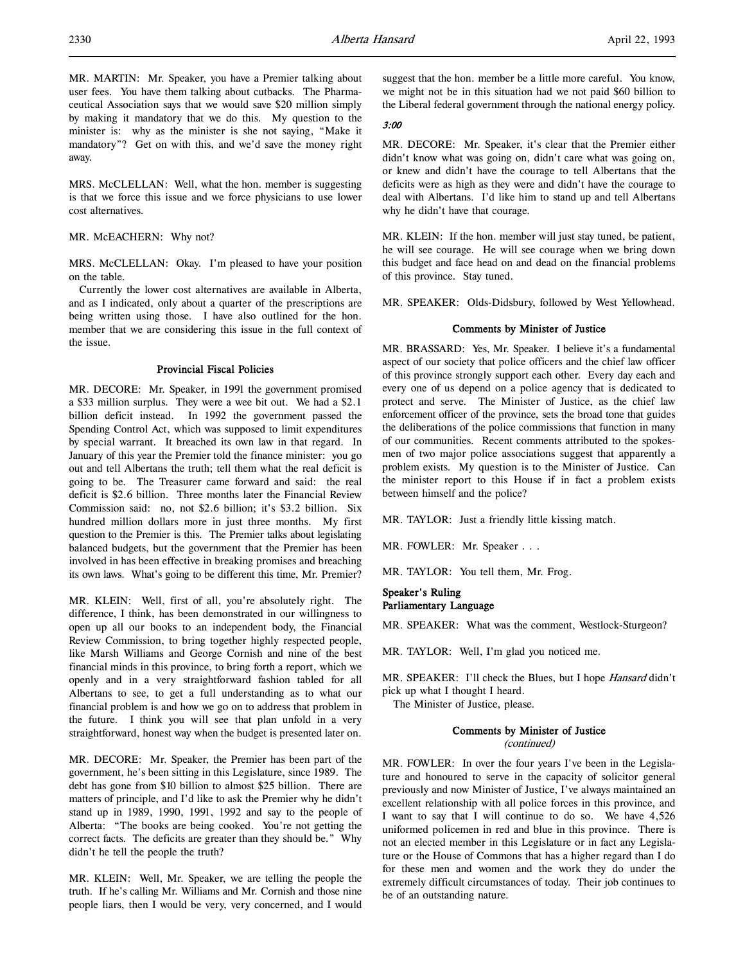MR. MARTIN: Mr. Speaker, you have a Premier talking about user fees. You have them talking about cutbacks. The Pharmaceutical Association says that we would save \$20 million simply by making it mandatory that we do this. My question to the minister is: why as the minister is she not saying, "Make it mandatory"? Get on with this, and we'd save the money right away.

MRS. McCLELLAN: Well, what the hon. member is suggesting is that we force this issue and we force physicians to use lower cost alternatives.

MR. McEACHERN: Why not?

MRS. McCLELLAN: Okay. I'm pleased to have your position on the table.

Currently the lower cost alternatives are available in Alberta, and as I indicated, only about a quarter of the prescriptions are being written using those. I have also outlined for the hon. member that we are considering this issue in the full context of the issue.

#### Provincial Fiscal Policies

MR. DECORE: Mr. Speaker, in 1991 the government promised a \$33 million surplus. They were a wee bit out. We had a \$2.1 billion deficit instead. In 1992 the government passed the Spending Control Act, which was supposed to limit expenditures by special warrant. It breached its own law in that regard. In January of this year the Premier told the finance minister: you go out and tell Albertans the truth; tell them what the real deficit is going to be. The Treasurer came forward and said: the real deficit is \$2.6 billion. Three months later the Financial Review Commission said: no, not \$2.6 billion; it's \$3.2 billion. Six hundred million dollars more in just three months. My first question to the Premier is this. The Premier talks about legislating balanced budgets, but the government that the Premier has been involved in has been effective in breaking promises and breaching its own laws. What's going to be different this time, Mr. Premier?

MR. KLEIN: Well, first of all, you're absolutely right. The difference, I think, has been demonstrated in our willingness to open up all our books to an independent body, the Financial Review Commission, to bring together highly respected people, like Marsh Williams and George Cornish and nine of the best financial minds in this province, to bring forth a report, which we openly and in a very straightforward fashion tabled for all Albertans to see, to get a full understanding as to what our financial problem is and how we go on to address that problem in the future. I think you will see that plan unfold in a very straightforward, honest way when the budget is presented later on.

MR. DECORE: Mr. Speaker, the Premier has been part of the government, he's been sitting in this Legislature, since 1989. The debt has gone from \$10 billion to almost \$25 billion. There are matters of principle, and I'd like to ask the Premier why he didn't stand up in 1989, 1990, 1991, 1992 and say to the people of Alberta: "The books are being cooked. You're not getting the correct facts. The deficits are greater than they should be." Why didn't he tell the people the truth?

MR. KLEIN: Well, Mr. Speaker, we are telling the people the truth. If he's calling Mr. Williams and Mr. Cornish and those nine people liars, then I would be very, very concerned, and I would

suggest that the hon. member be a little more careful. You know, we might not be in this situation had we not paid \$60 billion to the Liberal federal government through the national energy policy.

#### 3:00

MR. DECORE: Mr. Speaker, it's clear that the Premier either didn't know what was going on, didn't care what was going on, or knew and didn't have the courage to tell Albertans that the deficits were as high as they were and didn't have the courage to deal with Albertans. I'd like him to stand up and tell Albertans why he didn't have that courage.

MR. KLEIN: If the hon. member will just stay tuned, be patient, he will see courage. He will see courage when we bring down this budget and face head on and dead on the financial problems of this province. Stay tuned.

MR. SPEAKER: Olds-Didsbury, followed by West Yellowhead.

## Comments by Minister of Justice

MR. BRASSARD: Yes, Mr. Speaker. I believe it's a fundamental aspect of our society that police officers and the chief law officer of this province strongly support each other. Every day each and every one of us depend on a police agency that is dedicated to protect and serve. The Minister of Justice, as the chief law enforcement officer of the province, sets the broad tone that guides the deliberations of the police commissions that function in many of our communities. Recent comments attributed to the spokesmen of two major police associations suggest that apparently a problem exists. My question is to the Minister of Justice. Can the minister report to this House if in fact a problem exists between himself and the police?

MR. TAYLOR: Just a friendly little kissing match.

MR. FOWLER: Mr. Speaker . . .

MR. TAYLOR: You tell them, Mr. Frog.

## Speaker's Ruling Parliamentary Language

MR. SPEAKER: What was the comment, Westlock-Sturgeon?

MR. TAYLOR: Well, I'm glad you noticed me.

MR. SPEAKER: I'll check the Blues, but I hope Hansard didn't pick up what I thought I heard.

The Minister of Justice, please.

## Comments by Minister of Justice

(continued)

MR. FOWLER: In over the four years I've been in the Legislature and honoured to serve in the capacity of solicitor general previously and now Minister of Justice, I've always maintained an excellent relationship with all police forces in this province, and I want to say that I will continue to do so. We have 4,526 uniformed policemen in red and blue in this province. There is not an elected member in this Legislature or in fact any Legislature or the House of Commons that has a higher regard than I do for these men and women and the work they do under the extremely difficult circumstances of today. Their job continues to be of an outstanding nature.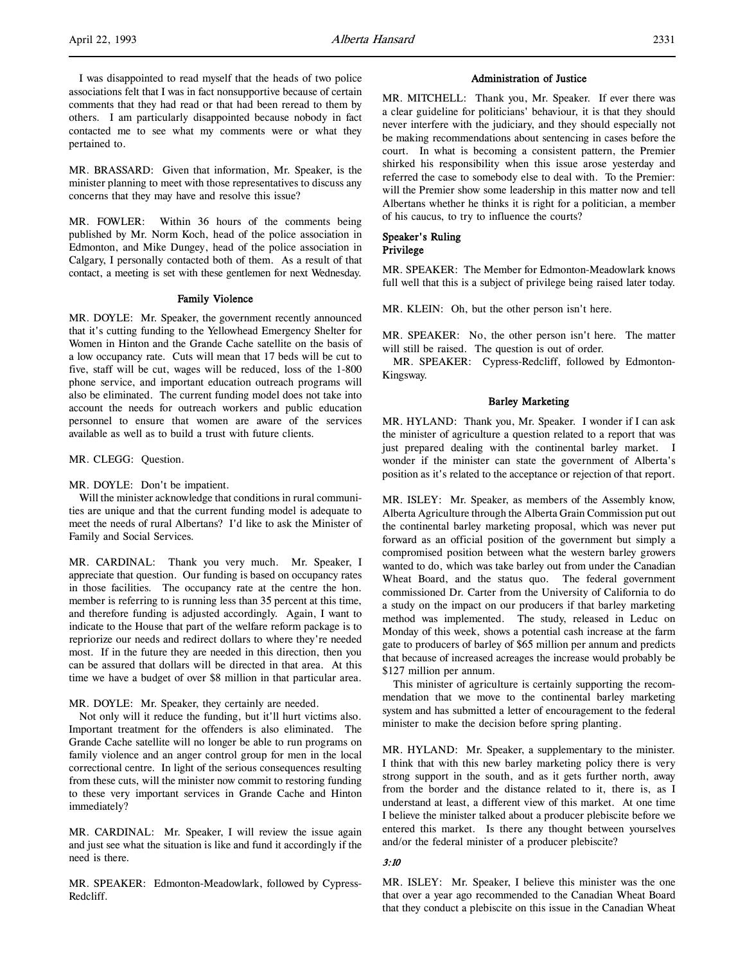I was disappointed to read myself that the heads of two police associations felt that I was in fact nonsupportive because of certain comments that they had read or that had been reread to them by others. I am particularly disappointed because nobody in fact contacted me to see what my comments were or what they pertained to.

MR. BRASSARD: Given that information, Mr. Speaker, is the minister planning to meet with those representatives to discuss any concerns that they may have and resolve this issue?

MR. FOWLER: Within 36 hours of the comments being published by Mr. Norm Koch, head of the police association in Edmonton, and Mike Dungey, head of the police association in Calgary, I personally contacted both of them. As a result of that contact, a meeting is set with these gentlemen for next Wednesday.

#### Family Violence

MR. DOYLE: Mr. Speaker, the government recently announced that it's cutting funding to the Yellowhead Emergency Shelter for Women in Hinton and the Grande Cache satellite on the basis of a low occupancy rate. Cuts will mean that 17 beds will be cut to five, staff will be cut, wages will be reduced, loss of the 1-800 phone service, and important education outreach programs will also be eliminated. The current funding model does not take into account the needs for outreach workers and public education personnel to ensure that women are aware of the services available as well as to build a trust with future clients.

MR. CLEGG: Question.

MR. DOYLE: Don't be impatient.

Will the minister acknowledge that conditions in rural communities are unique and that the current funding model is adequate to meet the needs of rural Albertans? I'd like to ask the Minister of Family and Social Services.

MR. CARDINAL: Thank you very much. Mr. Speaker, I appreciate that question. Our funding is based on occupancy rates in those facilities. The occupancy rate at the centre the hon. member is referring to is running less than 35 percent at this time, and therefore funding is adjusted accordingly. Again, I want to indicate to the House that part of the welfare reform package is to repriorize our needs and redirect dollars to where they're needed most. If in the future they are needed in this direction, then you can be assured that dollars will be directed in that area. At this time we have a budget of over \$8 million in that particular area.

MR. DOYLE: Mr. Speaker, they certainly are needed.

Not only will it reduce the funding, but it'll hurt victims also. Important treatment for the offenders is also eliminated. The Grande Cache satellite will no longer be able to run programs on family violence and an anger control group for men in the local correctional centre. In light of the serious consequences resulting from these cuts, will the minister now commit to restoring funding to these very important services in Grande Cache and Hinton immediately?

MR. CARDINAL: Mr. Speaker, I will review the issue again and just see what the situation is like and fund it accordingly if the need is there.

MR. SPEAKER: Edmonton-Meadowlark, followed by Cypress-Redcliff.

#### Administration of Justice

MR. MITCHELL: Thank you, Mr. Speaker. If ever there was a clear guideline for politicians' behaviour, it is that they should never interfere with the judiciary, and they should especially not be making recommendations about sentencing in cases before the court. In what is becoming a consistent pattern, the Premier shirked his responsibility when this issue arose yesterday and referred the case to somebody else to deal with. To the Premier: will the Premier show some leadership in this matter now and tell Albertans whether he thinks it is right for a politician, a member of his caucus, to try to influence the courts?

## Speaker's Ruling Privilege

MR. SPEAKER: The Member for Edmonton-Meadowlark knows full well that this is a subject of privilege being raised later today.

MR. KLEIN: Oh, but the other person isn't here.

MR. SPEAKER: No, the other person isn't here. The matter will still be raised. The question is out of order.

MR. SPEAKER: Cypress-Redcliff, followed by Edmonton-Kingsway.

## Barley Marketing

MR. HYLAND: Thank you, Mr. Speaker. I wonder if I can ask the minister of agriculture a question related to a report that was just prepared dealing with the continental barley market. I wonder if the minister can state the government of Alberta's position as it's related to the acceptance or rejection of that report.

MR. ISLEY: Mr. Speaker, as members of the Assembly know, Alberta Agriculture through the Alberta Grain Commission put out the continental barley marketing proposal, which was never put forward as an official position of the government but simply a compromised position between what the western barley growers wanted to do, which was take barley out from under the Canadian Wheat Board, and the status quo. The federal government commissioned Dr. Carter from the University of California to do a study on the impact on our producers if that barley marketing method was implemented. The study, released in Leduc on Monday of this week, shows a potential cash increase at the farm gate to producers of barley of \$65 million per annum and predicts that because of increased acreages the increase would probably be \$127 million per annum.

This minister of agriculture is certainly supporting the recommendation that we move to the continental barley marketing system and has submitted a letter of encouragement to the federal minister to make the decision before spring planting.

MR. HYLAND: Mr. Speaker, a supplementary to the minister. I think that with this new barley marketing policy there is very strong support in the south, and as it gets further north, away from the border and the distance related to it, there is, as I understand at least, a different view of this market. At one time I believe the minister talked about a producer plebiscite before we entered this market. Is there any thought between yourselves and/or the federal minister of a producer plebiscite?

#### 3:10

MR. ISLEY: Mr. Speaker, I believe this minister was the one that over a year ago recommended to the Canadian Wheat Board that they conduct a plebiscite on this issue in the Canadian Wheat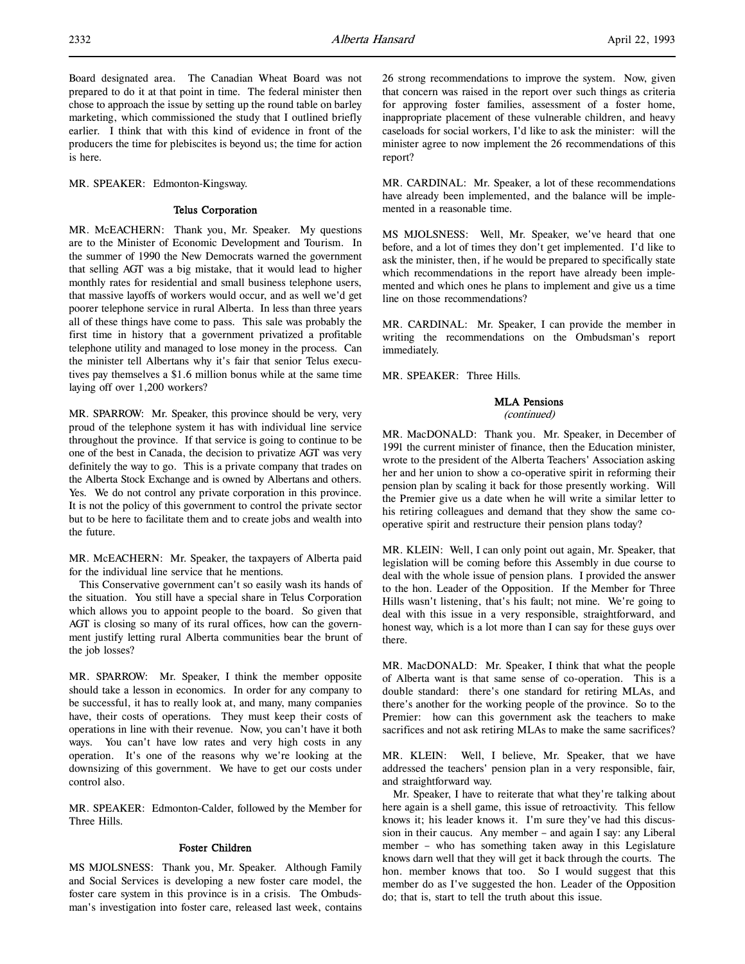Board designated area. The Canadian Wheat Board was not prepared to do it at that point in time. The federal minister then chose to approach the issue by setting up the round table on barley marketing, which commissioned the study that I outlined briefly earlier. I think that with this kind of evidence in front of the producers the time for plebiscites is beyond us; the time for action is here.

MR. SPEAKER: Edmonton-Kingsway.

## Telus Corporation

MR. McEACHERN: Thank you, Mr. Speaker. My questions are to the Minister of Economic Development and Tourism. In the summer of 1990 the New Democrats warned the government that selling AGT was a big mistake, that it would lead to higher monthly rates for residential and small business telephone users, that massive layoffs of workers would occur, and as well we'd get poorer telephone service in rural Alberta. In less than three years all of these things have come to pass. This sale was probably the first time in history that a government privatized a profitable telephone utility and managed to lose money in the process. Can the minister tell Albertans why it's fair that senior Telus executives pay themselves a \$1.6 million bonus while at the same time laying off over 1,200 workers?

MR. SPARROW: Mr. Speaker, this province should be very, very proud of the telephone system it has with individual line service throughout the province. If that service is going to continue to be one of the best in Canada, the decision to privatize AGT was very definitely the way to go. This is a private company that trades on the Alberta Stock Exchange and is owned by Albertans and others. Yes. We do not control any private corporation in this province. It is not the policy of this government to control the private sector but to be here to facilitate them and to create jobs and wealth into the future.

MR. McEACHERN: Mr. Speaker, the taxpayers of Alberta paid for the individual line service that he mentions.

This Conservative government can't so easily wash its hands of the situation. You still have a special share in Telus Corporation which allows you to appoint people to the board. So given that AGT is closing so many of its rural offices, how can the government justify letting rural Alberta communities bear the brunt of the job losses?

MR. SPARROW: Mr. Speaker, I think the member opposite should take a lesson in economics. In order for any company to be successful, it has to really look at, and many, many companies have, their costs of operations. They must keep their costs of operations in line with their revenue. Now, you can't have it both ways. You can't have low rates and very high costs in any operation. It's one of the reasons why we're looking at the downsizing of this government. We have to get our costs under control also.

MR. SPEAKER: Edmonton-Calder, followed by the Member for Three Hills.

#### Foster Children

MS MJOLSNESS: Thank you, Mr. Speaker. Although Family and Social Services is developing a new foster care model, the foster care system in this province is in a crisis. The Ombudsman's investigation into foster care, released last week, contains 26 strong recommendations to improve the system. Now, given that concern was raised in the report over such things as criteria for approving foster families, assessment of a foster home, inappropriate placement of these vulnerable children, and heavy caseloads for social workers, I'd like to ask the minister: will the minister agree to now implement the 26 recommendations of this report?

MR. CARDINAL: Mr. Speaker, a lot of these recommendations have already been implemented, and the balance will be implemented in a reasonable time.

MS MJOLSNESS: Well, Mr. Speaker, we've heard that one before, and a lot of times they don't get implemented. I'd like to ask the minister, then, if he would be prepared to specifically state which recommendations in the report have already been implemented and which ones he plans to implement and give us a time line on those recommendations?

MR. CARDINAL: Mr. Speaker, I can provide the member in writing the recommendations on the Ombudsman's report immediately.

MR. SPEAKER: Three Hills.

## MLA Pensions

(continued)

MR. MacDONALD: Thank you. Mr. Speaker, in December of 1991 the current minister of finance, then the Education minister, wrote to the president of the Alberta Teachers' Association asking her and her union to show a co-operative spirit in reforming their pension plan by scaling it back for those presently working. Will the Premier give us a date when he will write a similar letter to his retiring colleagues and demand that they show the same cooperative spirit and restructure their pension plans today?

MR. KLEIN: Well, I can only point out again, Mr. Speaker, that legislation will be coming before this Assembly in due course to deal with the whole issue of pension plans. I provided the answer to the hon. Leader of the Opposition. If the Member for Three Hills wasn't listening, that's his fault; not mine. We're going to deal with this issue in a very responsible, straightforward, and honest way, which is a lot more than I can say for these guys over there.

MR. MacDONALD: Mr. Speaker, I think that what the people of Alberta want is that same sense of co-operation. This is a double standard: there's one standard for retiring MLAs, and there's another for the working people of the province. So to the Premier: how can this government ask the teachers to make sacrifices and not ask retiring MLAs to make the same sacrifices?

MR. KLEIN: Well, I believe, Mr. Speaker, that we have addressed the teachers' pension plan in a very responsible, fair, and straightforward way.

Mr. Speaker, I have to reiterate that what they're talking about here again is a shell game, this issue of retroactivity. This fellow knows it; his leader knows it. I'm sure they've had this discussion in their caucus. Any member – and again I say: any Liberal member – who has something taken away in this Legislature knows darn well that they will get it back through the courts. The hon. member knows that too. So I would suggest that this member do as I've suggested the hon. Leader of the Opposition do; that is, start to tell the truth about this issue.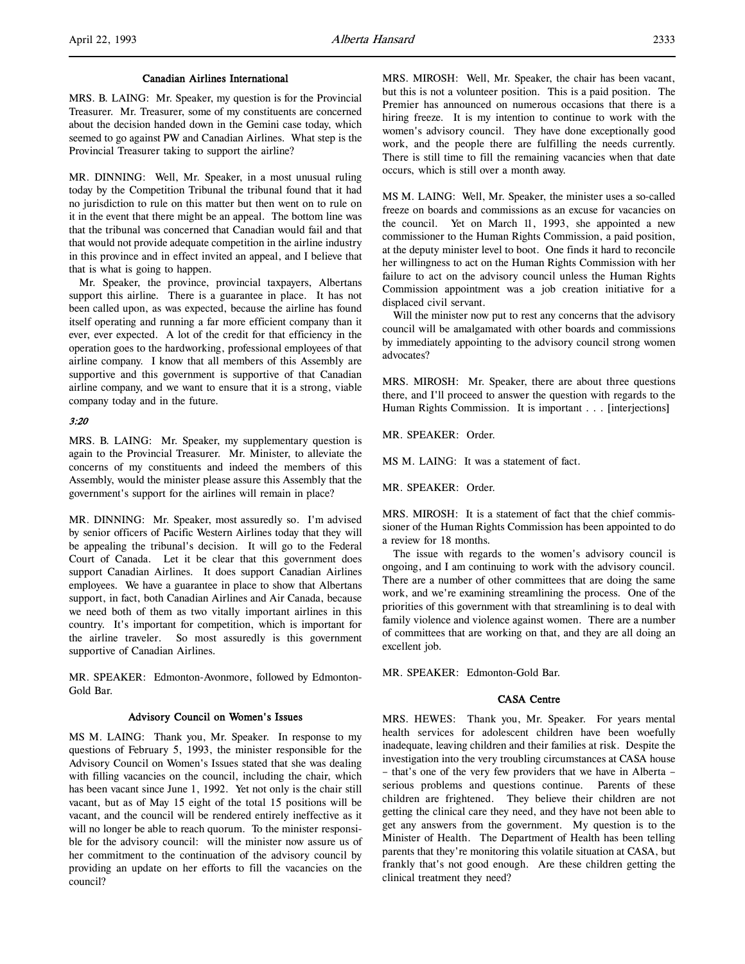#### Canadian Airlines International

MRS. B. LAING: Mr. Speaker, my question is for the Provincial Treasurer. Mr. Treasurer, some of my constituents are concerned about the decision handed down in the Gemini case today, which seemed to go against PW and Canadian Airlines. What step is the Provincial Treasurer taking to support the airline?

MR. DINNING: Well, Mr. Speaker, in a most unusual ruling today by the Competition Tribunal the tribunal found that it had no jurisdiction to rule on this matter but then went on to rule on it in the event that there might be an appeal. The bottom line was that the tribunal was concerned that Canadian would fail and that that would not provide adequate competition in the airline industry in this province and in effect invited an appeal, and I believe that that is what is going to happen.

Mr. Speaker, the province, provincial taxpayers, Albertans support this airline. There is a guarantee in place. It has not been called upon, as was expected, because the airline has found itself operating and running a far more efficient company than it ever, ever expected. A lot of the credit for that efficiency in the operation goes to the hardworking, professional employees of that airline company. I know that all members of this Assembly are supportive and this government is supportive of that Canadian airline company, and we want to ensure that it is a strong, viable company today and in the future.

## 3:20

MRS. B. LAING: Mr. Speaker, my supplementary question is again to the Provincial Treasurer. Mr. Minister, to alleviate the concerns of my constituents and indeed the members of this Assembly, would the minister please assure this Assembly that the government's support for the airlines will remain in place?

MR. DINNING: Mr. Speaker, most assuredly so. I'm advised by senior officers of Pacific Western Airlines today that they will be appealing the tribunal's decision. It will go to the Federal Court of Canada. Let it be clear that this government does support Canadian Airlines. It does support Canadian Airlines employees. We have a guarantee in place to show that Albertans support, in fact, both Canadian Airlines and Air Canada, because we need both of them as two vitally important airlines in this country. It's important for competition, which is important for the airline traveler. So most assuredly is this government supportive of Canadian Airlines.

MR. SPEAKER: Edmonton-Avonmore, followed by Edmonton-Gold Bar.

#### Advisory Council on Women's Issues

MS M. LAING: Thank you, Mr. Speaker. In response to my questions of February 5, 1993, the minister responsible for the Advisory Council on Women's Issues stated that she was dealing with filling vacancies on the council, including the chair, which has been vacant since June 1, 1992. Yet not only is the chair still vacant, but as of May 15 eight of the total 15 positions will be vacant, and the council will be rendered entirely ineffective as it will no longer be able to reach quorum. To the minister responsible for the advisory council: will the minister now assure us of her commitment to the continuation of the advisory council by providing an update on her efforts to fill the vacancies on the council?

MRS. MIROSH: Well, Mr. Speaker, the chair has been vacant, but this is not a volunteer position. This is a paid position. The Premier has announced on numerous occasions that there is a hiring freeze. It is my intention to continue to work with the women's advisory council. They have done exceptionally good work, and the people there are fulfilling the needs currently. There is still time to fill the remaining vacancies when that date occurs, which is still over a month away.

MS M. LAING: Well, Mr. Speaker, the minister uses a so-called freeze on boards and commissions as an excuse for vacancies on the council. Yet on March 11, 1993, she appointed a new commissioner to the Human Rights Commission, a paid position, at the deputy minister level to boot. One finds it hard to reconcile her willingness to act on the Human Rights Commission with her failure to act on the advisory council unless the Human Rights Commission appointment was a job creation initiative for a displaced civil servant.

Will the minister now put to rest any concerns that the advisory council will be amalgamated with other boards and commissions by immediately appointing to the advisory council strong women advocates?

MRS. MIROSH: Mr. Speaker, there are about three questions there, and I'll proceed to answer the question with regards to the Human Rights Commission. It is important . . . [interjections]

MR. SPEAKER: Order.

MS M. LAING: It was a statement of fact.

MR. SPEAKER: Order.

MRS. MIROSH: It is a statement of fact that the chief commissioner of the Human Rights Commission has been appointed to do a review for 18 months.

The issue with regards to the women's advisory council is ongoing, and I am continuing to work with the advisory council. There are a number of other committees that are doing the same work, and we're examining streamlining the process. One of the priorities of this government with that streamlining is to deal with family violence and violence against women. There are a number of committees that are working on that, and they are all doing an excellent job.

MR. SPEAKER: Edmonton-Gold Bar.

### CASA Centre

MRS. HEWES: Thank you, Mr. Speaker. For years mental health services for adolescent children have been woefully inadequate, leaving children and their families at risk. Despite the investigation into the very troubling circumstances at CASA house – that's one of the very few providers that we have in Alberta – serious problems and questions continue. Parents of these children are frightened. They believe their children are not getting the clinical care they need, and they have not been able to get any answers from the government. My question is to the Minister of Health. The Department of Health has been telling parents that they're monitoring this volatile situation at CASA, but frankly that's not good enough. Are these children getting the clinical treatment they need?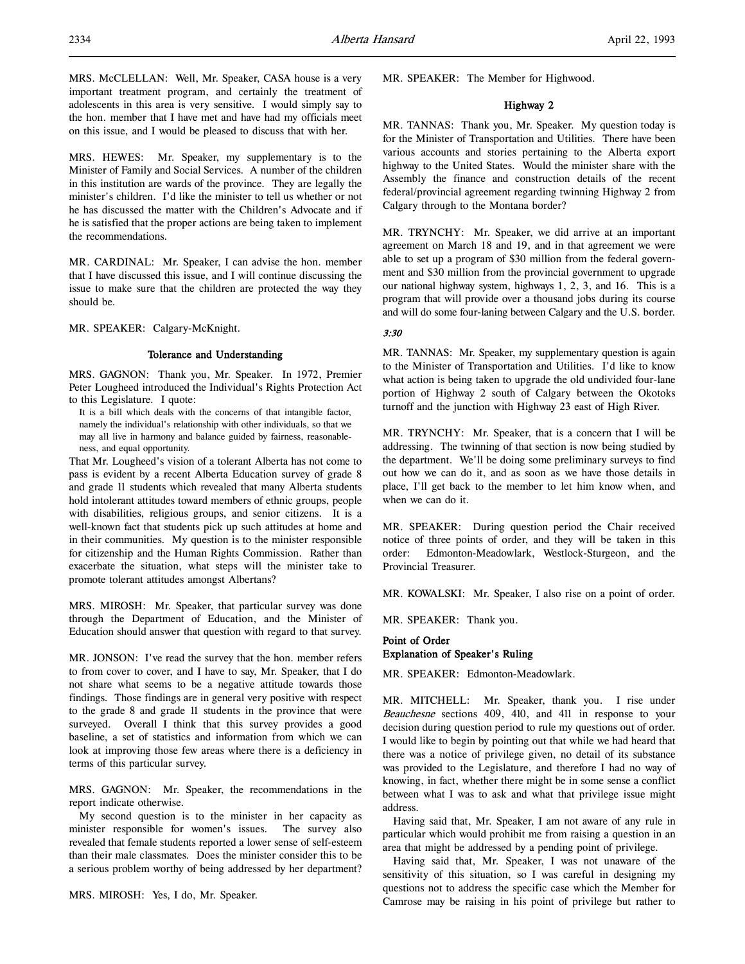MRS. HEWES: Mr. Speaker, my supplementary is to the Minister of Family and Social Services. A number of the children in this institution are wards of the province. They are legally the minister's children. I'd like the minister to tell us whether or not he has discussed the matter with the Children's Advocate and if he is satisfied that the proper actions are being taken to implement the recommendations.

MR. CARDINAL: Mr. Speaker, I can advise the hon. member that I have discussed this issue, and I will continue discussing the issue to make sure that the children are protected the way they should be.

MR. SPEAKER: Calgary-McKnight.

## Tolerance and Understanding

MRS. GAGNON: Thank you, Mr. Speaker. In 1972, Premier Peter Lougheed introduced the Individual's Rights Protection Act to this Legislature. I quote:

It is a bill which deals with the concerns of that intangible factor, namely the individual's relationship with other individuals, so that we may all live in harmony and balance guided by fairness, reasonableness, and equal opportunity.

That Mr. Lougheed's vision of a tolerant Alberta has not come to pass is evident by a recent Alberta Education survey of grade 8 and grade 11 students which revealed that many Alberta students hold intolerant attitudes toward members of ethnic groups, people with disabilities, religious groups, and senior citizens. It is a well-known fact that students pick up such attitudes at home and in their communities. My question is to the minister responsible for citizenship and the Human Rights Commission. Rather than exacerbate the situation, what steps will the minister take to promote tolerant attitudes amongst Albertans?

MRS. MIROSH: Mr. Speaker, that particular survey was done through the Department of Education, and the Minister of Education should answer that question with regard to that survey.

MR. JONSON: I've read the survey that the hon. member refers to from cover to cover, and I have to say, Mr. Speaker, that I do not share what seems to be a negative attitude towards those findings. Those findings are in general very positive with respect to the grade 8 and grade 11 students in the province that were surveyed. Overall I think that this survey provides a good baseline, a set of statistics and information from which we can look at improving those few areas where there is a deficiency in terms of this particular survey.

MRS. GAGNON: Mr. Speaker, the recommendations in the report indicate otherwise.

My second question is to the minister in her capacity as minister responsible for women's issues. The survey also revealed that female students reported a lower sense of self-esteem than their male classmates. Does the minister consider this to be a serious problem worthy of being addressed by her department?

MRS. MIROSH: Yes, I do, Mr. Speaker.

MR. SPEAKER: The Member for Highwood.

## Highway 2

MR. TANNAS: Thank you, Mr. Speaker. My question today is for the Minister of Transportation and Utilities. There have been various accounts and stories pertaining to the Alberta export highway to the United States. Would the minister share with the Assembly the finance and construction details of the recent federal/provincial agreement regarding twinning Highway 2 from Calgary through to the Montana border?

MR. TRYNCHY: Mr. Speaker, we did arrive at an important agreement on March 18 and 19, and in that agreement we were able to set up a program of \$30 million from the federal government and \$30 million from the provincial government to upgrade our national highway system, highways 1, 2, 3, and 16. This is a program that will provide over a thousand jobs during its course and will do some four-laning between Calgary and the U.S. border.

## 3:30

MR. TANNAS: Mr. Speaker, my supplementary question is again to the Minister of Transportation and Utilities. I'd like to know what action is being taken to upgrade the old undivided four-lane portion of Highway 2 south of Calgary between the Okotoks turnoff and the junction with Highway 23 east of High River.

MR. TRYNCHY: Mr. Speaker, that is a concern that I will be addressing. The twinning of that section is now being studied by the department. We'll be doing some preliminary surveys to find out how we can do it, and as soon as we have those details in place, I'll get back to the member to let him know when, and when we can do it.

MR. SPEAKER: During question period the Chair received notice of three points of order, and they will be taken in this order: Edmonton-Meadowlark, Westlock-Sturgeon, and the Provincial Treasurer.

MR. KOWALSKI: Mr. Speaker, I also rise on a point of order.

MR. SPEAKER: Thank you.

## Point of Order Explanation of Speaker's Ruling

MR. SPEAKER: Edmonton-Meadowlark.

MR. MITCHELL: Mr. Speaker, thank you. I rise under Beauchesne sections 409, 410, and 411 in response to your decision during question period to rule my questions out of order. I would like to begin by pointing out that while we had heard that there was a notice of privilege given, no detail of its substance was provided to the Legislature, and therefore I had no way of knowing, in fact, whether there might be in some sense a conflict between what I was to ask and what that privilege issue might address.

Having said that, Mr. Speaker, I am not aware of any rule in particular which would prohibit me from raising a question in an area that might be addressed by a pending point of privilege.

Having said that, Mr. Speaker, I was not unaware of the sensitivity of this situation, so I was careful in designing my questions not to address the specific case which the Member for Camrose may be raising in his point of privilege but rather to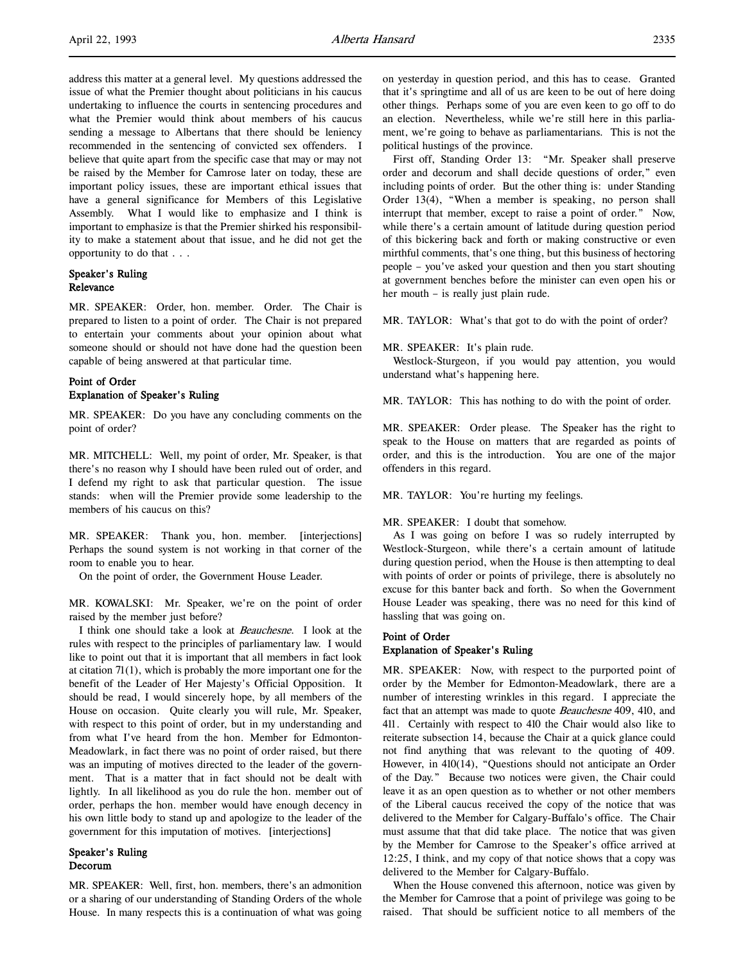believe that quite apart from the specific case that may or may not be raised by the Member for Camrose later on today, these are important policy issues, these are important ethical issues that have a general significance for Members of this Legislative Assembly. What I would like to emphasize and I think is important to emphasize is that the Premier shirked his responsibility to make a statement about that issue, and he did not get the opportunity to do that . . .

## Speaker's Ruling Relevance

MR. SPEAKER: Order, hon. member. Order. The Chair is prepared to listen to a point of order. The Chair is not prepared to entertain your comments about your opinion about what someone should or should not have done had the question been capable of being answered at that particular time.

## Point of Order Explanation of Speaker's Ruling

MR. SPEAKER: Do you have any concluding comments on the point of order?

MR. MITCHELL: Well, my point of order, Mr. Speaker, is that there's no reason why I should have been ruled out of order, and I defend my right to ask that particular question. The issue stands: when will the Premier provide some leadership to the members of his caucus on this?

MR. SPEAKER: Thank you, hon. member. [interjections] Perhaps the sound system is not working in that corner of the room to enable you to hear.

On the point of order, the Government House Leader.

MR. KOWALSKI: Mr. Speaker, we're on the point of order raised by the member just before?

I think one should take a look at Beauchesne. I look at the rules with respect to the principles of parliamentary law. I would like to point out that it is important that all members in fact look at citation 71(1), which is probably the more important one for the benefit of the Leader of Her Majesty's Official Opposition. It should be read, I would sincerely hope, by all members of the House on occasion. Quite clearly you will rule, Mr. Speaker, with respect to this point of order, but in my understanding and from what I've heard from the hon. Member for Edmonton-Meadowlark, in fact there was no point of order raised, but there was an imputing of motives directed to the leader of the government. That is a matter that in fact should not be dealt with lightly. In all likelihood as you do rule the hon. member out of order, perhaps the hon. member would have enough decency in his own little body to stand up and apologize to the leader of the government for this imputation of motives. [interjections]

#### Speaker's Ruling Decorum

MR. SPEAKER: Well, first, hon. members, there's an admonition or a sharing of our understanding of Standing Orders of the whole House. In many respects this is a continuation of what was going on yesterday in question period, and this has to cease. Granted that it's springtime and all of us are keen to be out of here doing other things. Perhaps some of you are even keen to go off to do an election. Nevertheless, while we're still here in this parliament, we're going to behave as parliamentarians. This is not the political hustings of the province.

First off, Standing Order 13: "Mr. Speaker shall preserve order and decorum and shall decide questions of order," even including points of order. But the other thing is: under Standing Order 13(4), "When a member is speaking, no person shall interrupt that member, except to raise a point of order." Now, while there's a certain amount of latitude during question period of this bickering back and forth or making constructive or even mirthful comments, that's one thing, but this business of hectoring people – you've asked your question and then you start shouting at government benches before the minister can even open his or her mouth – is really just plain rude.

MR. TAYLOR: What's that got to do with the point of order?

#### MR. SPEAKER: It's plain rude.

Westlock-Sturgeon, if you would pay attention, you would understand what's happening here.

MR. TAYLOR: This has nothing to do with the point of order.

MR. SPEAKER: Order please. The Speaker has the right to speak to the House on matters that are regarded as points of order, and this is the introduction. You are one of the major offenders in this regard.

MR. TAYLOR: You're hurting my feelings.

#### MR. SPEAKER: I doubt that somehow.

As I was going on before I was so rudely interrupted by Westlock-Sturgeon, while there's a certain amount of latitude during question period, when the House is then attempting to deal with points of order or points of privilege, there is absolutely no excuse for this banter back and forth. So when the Government House Leader was speaking, there was no need for this kind of hassling that was going on.

## Point of Order Explanation of Speaker's Ruling

MR. SPEAKER: Now, with respect to the purported point of order by the Member for Edmonton-Meadowlark, there are a number of interesting wrinkles in this regard. I appreciate the fact that an attempt was made to quote Beauchesne 409, 410, and 411. Certainly with respect to 410 the Chair would also like to reiterate subsection 14, because the Chair at a quick glance could not find anything that was relevant to the quoting of 409. However, in 410(14), "Questions should not anticipate an Order of the Day." Because two notices were given, the Chair could leave it as an open question as to whether or not other members of the Liberal caucus received the copy of the notice that was delivered to the Member for Calgary-Buffalo's office. The Chair must assume that that did take place. The notice that was given by the Member for Camrose to the Speaker's office arrived at 12:25, I think, and my copy of that notice shows that a copy was delivered to the Member for Calgary-Buffalo.

When the House convened this afternoon, notice was given by the Member for Camrose that a point of privilege was going to be raised. That should be sufficient notice to all members of the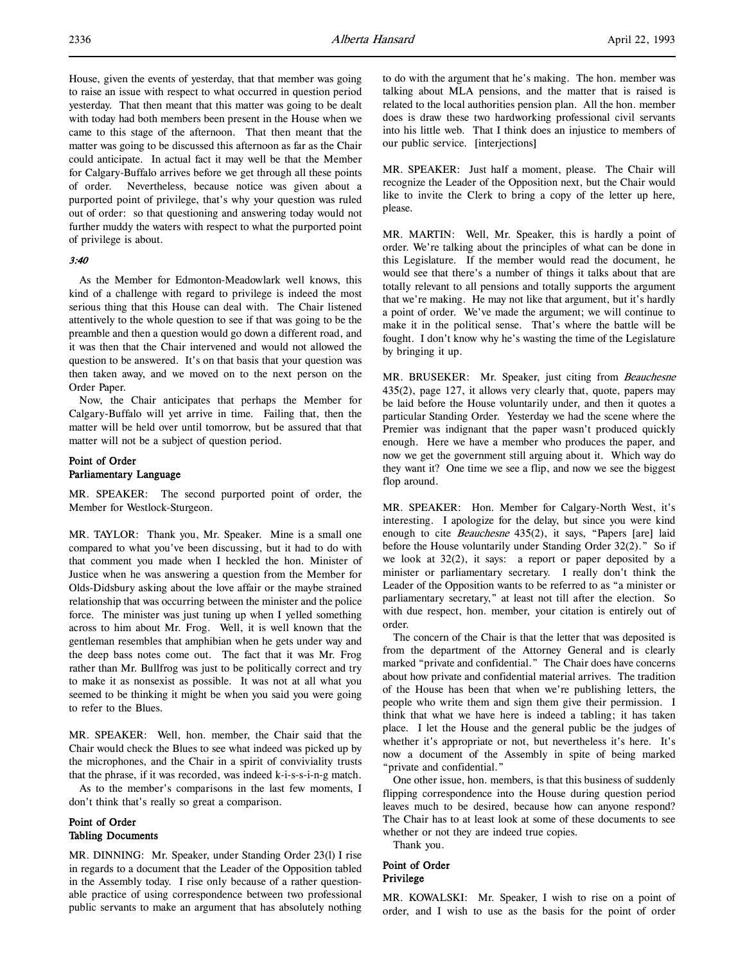House, given the events of yesterday, that that member was going to raise an issue with respect to what occurred in question period yesterday. That then meant that this matter was going to be dealt with today had both members been present in the House when we came to this stage of the afternoon. That then meant that the matter was going to be discussed this afternoon as far as the Chair could anticipate. In actual fact it may well be that the Member for Calgary-Buffalo arrives before we get through all these points of order. Nevertheless, because notice was given about a purported point of privilege, that's why your question was ruled out of order: so that questioning and answering today would not further muddy the waters with respect to what the purported point of privilege is about.

## 3:40

As the Member for Edmonton-Meadowlark well knows, this kind of a challenge with regard to privilege is indeed the most serious thing that this House can deal with. The Chair listened attentively to the whole question to see if that was going to be the preamble and then a question would go down a different road, and it was then that the Chair intervened and would not allowed the question to be answered. It's on that basis that your question was then taken away, and we moved on to the next person on the Order Paper.

Now, the Chair anticipates that perhaps the Member for Calgary-Buffalo will yet arrive in time. Failing that, then the matter will be held over until tomorrow, but be assured that that matter will not be a subject of question period.

## Point of Order Parliamentary Language

MR. SPEAKER: The second purported point of order, the Member for Westlock-Sturgeon.

MR. TAYLOR: Thank you, Mr. Speaker. Mine is a small one compared to what you've been discussing, but it had to do with that comment you made when I heckled the hon. Minister of Justice when he was answering a question from the Member for Olds-Didsbury asking about the love affair or the maybe strained relationship that was occurring between the minister and the police force. The minister was just tuning up when I yelled something across to him about Mr. Frog. Well, it is well known that the gentleman resembles that amphibian when he gets under way and the deep bass notes come out. The fact that it was Mr. Frog rather than Mr. Bullfrog was just to be politically correct and try to make it as nonsexist as possible. It was not at all what you seemed to be thinking it might be when you said you were going to refer to the Blues.

MR. SPEAKER: Well, hon. member, the Chair said that the Chair would check the Blues to see what indeed was picked up by the microphones, and the Chair in a spirit of conviviality trusts that the phrase, if it was recorded, was indeed k-i-s-s-i-n-g match.

As to the member's comparisons in the last few moments, I don't think that's really so great a comparison.

## Point of Order Tabling Documents

MR. DINNING: Mr. Speaker, under Standing Order 23(l) I rise in regards to a document that the Leader of the Opposition tabled in the Assembly today. I rise only because of a rather questionable practice of using correspondence between two professional public servants to make an argument that has absolutely nothing

to do with the argument that he's making. The hon. member was talking about MLA pensions, and the matter that is raised is related to the local authorities pension plan. All the hon. member does is draw these two hardworking professional civil servants into his little web. That I think does an injustice to members of our public service. [interjections]

MR. SPEAKER: Just half a moment, please. The Chair will recognize the Leader of the Opposition next, but the Chair would like to invite the Clerk to bring a copy of the letter up here, please.

MR. MARTIN: Well, Mr. Speaker, this is hardly a point of order. We're talking about the principles of what can be done in this Legislature. If the member would read the document, he would see that there's a number of things it talks about that are totally relevant to all pensions and totally supports the argument that we're making. He may not like that argument, but it's hardly a point of order. We've made the argument; we will continue to make it in the political sense. That's where the battle will be fought. I don't know why he's wasting the time of the Legislature by bringing it up.

MR. BRUSEKER: Mr. Speaker, just citing from Beauchesne 435(2), page 127, it allows very clearly that, quote, papers may be laid before the House voluntarily under, and then it quotes a particular Standing Order. Yesterday we had the scene where the Premier was indignant that the paper wasn't produced quickly enough. Here we have a member who produces the paper, and now we get the government still arguing about it. Which way do they want it? One time we see a flip, and now we see the biggest flop around.

MR. SPEAKER: Hon. Member for Calgary-North West, it's interesting. I apologize for the delay, but since you were kind enough to cite Beauchesne 435(2), it says, "Papers [are] laid before the House voluntarily under Standing Order 32(2)." So if we look at 32(2), it says: a report or paper deposited by a minister or parliamentary secretary. I really don't think the Leader of the Opposition wants to be referred to as "a minister or parliamentary secretary," at least not till after the election. So with due respect, hon. member, your citation is entirely out of order.

The concern of the Chair is that the letter that was deposited is from the department of the Attorney General and is clearly marked "private and confidential." The Chair does have concerns about how private and confidential material arrives. The tradition of the House has been that when we're publishing letters, the people who write them and sign them give their permission. I think that what we have here is indeed a tabling; it has taken place. I let the House and the general public be the judges of whether it's appropriate or not, but nevertheless it's here. It's now a document of the Assembly in spite of being marked "private and confidential."

One other issue, hon. members, is that this business of suddenly flipping correspondence into the House during question period leaves much to be desired, because how can anyone respond? The Chair has to at least look at some of these documents to see whether or not they are indeed true copies.

Thank you.

## Point of Order Privilege

MR. KOWALSKI: Mr. Speaker, I wish to rise on a point of order, and I wish to use as the basis for the point of order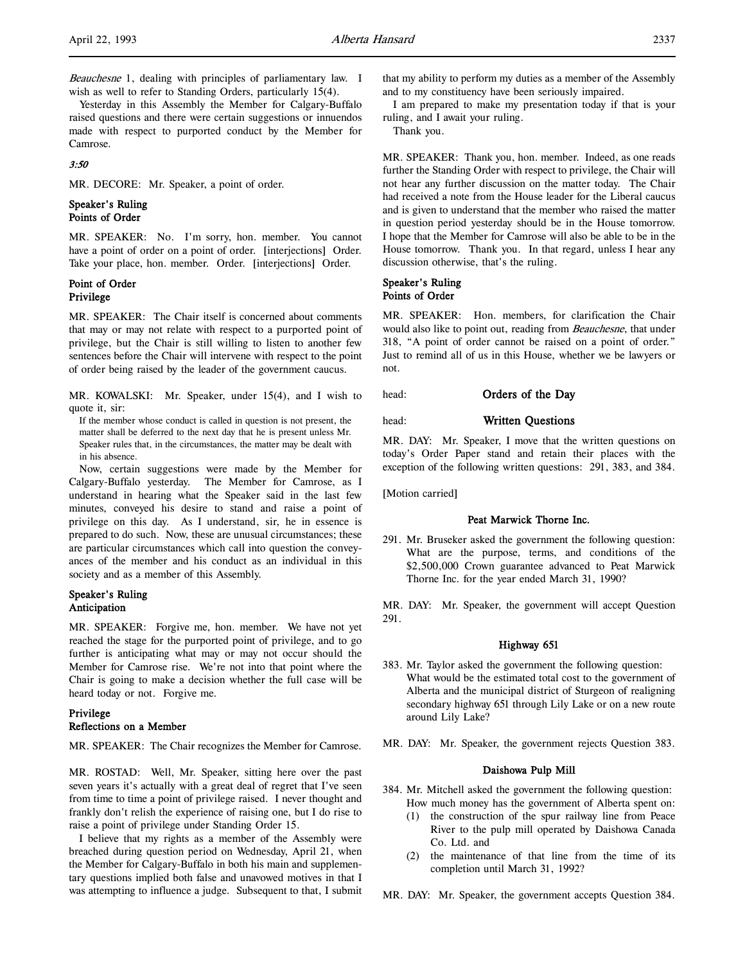Beauchesne 1, dealing with principles of parliamentary law. I wish as well to refer to Standing Orders, particularly 15(4).

Yesterday in this Assembly the Member for Calgary-Buffalo raised questions and there were certain suggestions or innuendos made with respect to purported conduct by the Member for Camrose.

#### 3:50

MR. DECORE: Mr. Speaker, a point of order.

#### Speaker's Ruling Points of Order

MR. SPEAKER: No. I'm sorry, hon. member. You cannot have a point of order on a point of order. [interjections] Order. Take your place, hon. member. Order. [interjections] Order.

#### Point of Order Privilege

MR. SPEAKER: The Chair itself is concerned about comments that may or may not relate with respect to a purported point of privilege, but the Chair is still willing to listen to another few sentences before the Chair will intervene with respect to the point of order being raised by the leader of the government caucus.

MR. KOWALSKI: Mr. Speaker, under 15(4), and I wish to quote it, sir:

If the member whose conduct is called in question is not present, the matter shall be deferred to the next day that he is present unless Mr. Speaker rules that, in the circumstances, the matter may be dealt with in his absence.

Now, certain suggestions were made by the Member for Calgary-Buffalo yesterday. The Member for Camrose, as I understand in hearing what the Speaker said in the last few minutes, conveyed his desire to stand and raise a point of privilege on this day. As I understand, sir, he in essence is prepared to do such. Now, these are unusual circumstances; these are particular circumstances which call into question the conveyances of the member and his conduct as an individual in this society and as a member of this Assembly.

## Speaker's Ruling Anticipation

MR. SPEAKER: Forgive me, hon. member. We have not yet reached the stage for the purported point of privilege, and to go further is anticipating what may or may not occur should the Member for Camrose rise. We're not into that point where the Chair is going to make a decision whether the full case will be heard today or not. Forgive me.

## Privilege Reflections on a Member

MR. SPEAKER: The Chair recognizes the Member for Camrose.

MR. ROSTAD: Well, Mr. Speaker, sitting here over the past seven years it's actually with a great deal of regret that I've seen from time to time a point of privilege raised. I never thought and frankly don't relish the experience of raising one, but I do rise to raise a point of privilege under Standing Order 15.

I believe that my rights as a member of the Assembly were breached during question period on Wednesday, April 21, when the Member for Calgary-Buffalo in both his main and supplementary questions implied both false and unavowed motives in that I was attempting to influence a judge. Subsequent to that, I submit that my ability to perform my duties as a member of the Assembly and to my constituency have been seriously impaired.

I am prepared to make my presentation today if that is your ruling, and I await your ruling.

Thank you.

MR. SPEAKER: Thank you, hon. member. Indeed, as one reads further the Standing Order with respect to privilege, the Chair will not hear any further discussion on the matter today. The Chair had received a note from the House leader for the Liberal caucus and is given to understand that the member who raised the matter in question period yesterday should be in the House tomorrow. I hope that the Member for Camrose will also be able to be in the House tomorrow. Thank you. In that regard, unless I hear any discussion otherwise, that's the ruling.

#### Speaker's Ruling Points of Order

MR. SPEAKER: Hon. members, for clarification the Chair would also like to point out, reading from Beauchesne, that under 318, "A point of order cannot be raised on a point of order." Just to remind all of us in this House, whether we be lawyers or not.

head: **Orders of the Day** 

### head: Written Questions

MR. DAY: Mr. Speaker, I move that the written questions on today's Order Paper stand and retain their places with the exception of the following written questions: 291, 383, and 384.

[Motion carried]

### Peat Marwick Thorne Inc.

291. Mr. Bruseker asked the government the following question: What are the purpose, terms, and conditions of the \$2,500,000 Crown guarantee advanced to Peat Marwick Thorne Inc. for the year ended March 31, 1990?

MR. DAY: Mr. Speaker, the government will accept Question 291.

#### Highway 651

- 383. Mr. Taylor asked the government the following question: What would be the estimated total cost to the government of Alberta and the municipal district of Sturgeon of realigning secondary highway 651 through Lily Lake or on a new route around Lily Lake?
- MR. DAY: Mr. Speaker, the government rejects Question 383.

## Daishowa Pulp Mill

- 384. Mr. Mitchell asked the government the following question: How much money has the government of Alberta spent on:
	- (1) the construction of the spur railway line from Peace River to the pulp mill operated by Daishowa Canada Co. Ltd. and
	- (2) the maintenance of that line from the time of its completion until March 31, 1992?

MR. DAY: Mr. Speaker, the government accepts Question 384.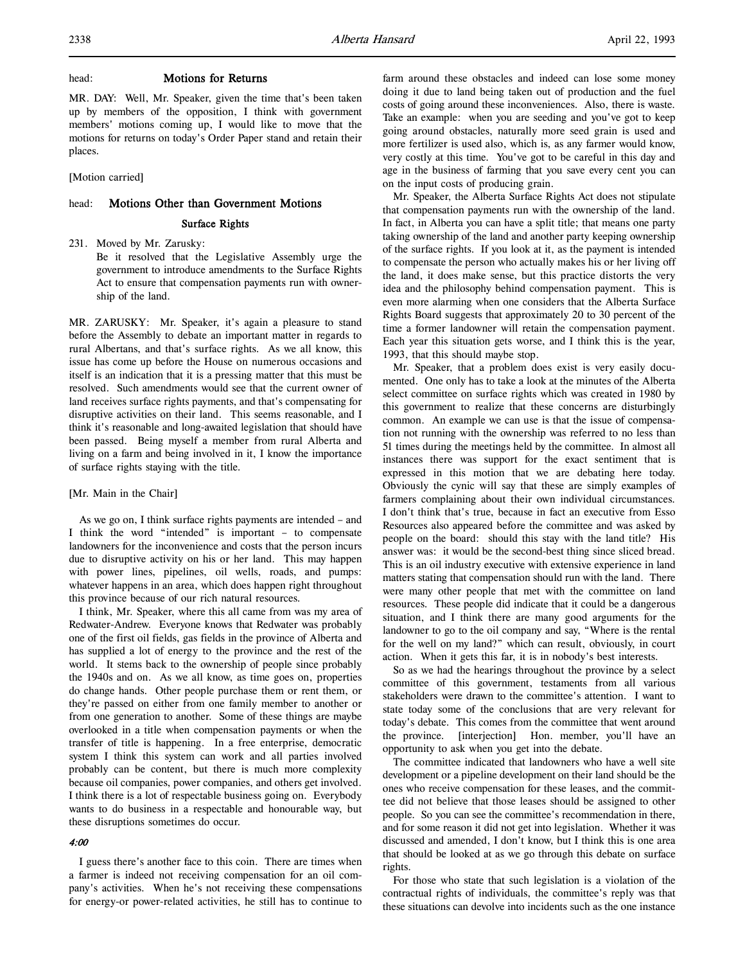#### head: **Motions for Returns**

MR. DAY: Well, Mr. Speaker, given the time that's been taken up by members of the opposition, I think with government members' motions coming up, I would like to move that the motions for returns on today's Order Paper stand and retain their places.

[Motion carried]

## head: Motions Other than Government Motions

#### Surface Rights

231. Moved by Mr. Zarusky:

Be it resolved that the Legislative Assembly urge the government to introduce amendments to the Surface Rights Act to ensure that compensation payments run with ownership of the land.

MR. ZARUSKY: Mr. Speaker, it's again a pleasure to stand before the Assembly to debate an important matter in regards to rural Albertans, and that's surface rights. As we all know, this issue has come up before the House on numerous occasions and itself is an indication that it is a pressing matter that this must be resolved. Such amendments would see that the current owner of land receives surface rights payments, and that's compensating for disruptive activities on their land. This seems reasonable, and I think it's reasonable and long-awaited legislation that should have been passed. Being myself a member from rural Alberta and living on a farm and being involved in it, I know the importance of surface rights staying with the title.

#### [Mr. Main in the Chair]

As we go on, I think surface rights payments are intended – and I think the word "intended" is important – to compensate landowners for the inconvenience and costs that the person incurs due to disruptive activity on his or her land. This may happen with power lines, pipelines, oil wells, roads, and pumps: whatever happens in an area, which does happen right throughout this province because of our rich natural resources.

I think, Mr. Speaker, where this all came from was my area of Redwater-Andrew. Everyone knows that Redwater was probably one of the first oil fields, gas fields in the province of Alberta and has supplied a lot of energy to the province and the rest of the world. It stems back to the ownership of people since probably the 1940s and on. As we all know, as time goes on, properties do change hands. Other people purchase them or rent them, or they're passed on either from one family member to another or from one generation to another. Some of these things are maybe overlooked in a title when compensation payments or when the transfer of title is happening. In a free enterprise, democratic system I think this system can work and all parties involved probably can be content, but there is much more complexity because oil companies, power companies, and others get involved. I think there is a lot of respectable business going on. Everybody wants to do business in a respectable and honourable way, but these disruptions sometimes do occur.

## 4:00

I guess there's another face to this coin. There are times when a farmer is indeed not receiving compensation for an oil company's activities. When he's not receiving these compensations for energy-or power-related activities, he still has to continue to

farm around these obstacles and indeed can lose some money doing it due to land being taken out of production and the fuel costs of going around these inconveniences. Also, there is waste. Take an example: when you are seeding and you've got to keep going around obstacles, naturally more seed grain is used and more fertilizer is used also, which is, as any farmer would know, very costly at this time. You've got to be careful in this day and age in the business of farming that you save every cent you can on the input costs of producing grain.

Mr. Speaker, the Alberta Surface Rights Act does not stipulate that compensation payments run with the ownership of the land. In fact, in Alberta you can have a split title; that means one party taking ownership of the land and another party keeping ownership of the surface rights. If you look at it, as the payment is intended to compensate the person who actually makes his or her living off the land, it does make sense, but this practice distorts the very idea and the philosophy behind compensation payment. This is even more alarming when one considers that the Alberta Surface Rights Board suggests that approximately 20 to 30 percent of the time a former landowner will retain the compensation payment. Each year this situation gets worse, and I think this is the year, 1993, that this should maybe stop.

Mr. Speaker, that a problem does exist is very easily documented. One only has to take a look at the minutes of the Alberta select committee on surface rights which was created in 1980 by this government to realize that these concerns are disturbingly common. An example we can use is that the issue of compensation not running with the ownership was referred to no less than 51 times during the meetings held by the committee. In almost all instances there was support for the exact sentiment that is expressed in this motion that we are debating here today. Obviously the cynic will say that these are simply examples of farmers complaining about their own individual circumstances. I don't think that's true, because in fact an executive from Esso Resources also appeared before the committee and was asked by people on the board: should this stay with the land title? His answer was: it would be the second-best thing since sliced bread. This is an oil industry executive with extensive experience in land matters stating that compensation should run with the land. There were many other people that met with the committee on land resources. These people did indicate that it could be a dangerous situation, and I think there are many good arguments for the landowner to go to the oil company and say, "Where is the rental for the well on my land?" which can result, obviously, in court action. When it gets this far, it is in nobody's best interests.

So as we had the hearings throughout the province by a select committee of this government, testaments from all various stakeholders were drawn to the committee's attention. I want to state today some of the conclusions that are very relevant for today's debate. This comes from the committee that went around the province. [interjection] Hon. member, you'll have an opportunity to ask when you get into the debate.

The committee indicated that landowners who have a well site development or a pipeline development on their land should be the ones who receive compensation for these leases, and the committee did not believe that those leases should be assigned to other people. So you can see the committee's recommendation in there, and for some reason it did not get into legislation. Whether it was discussed and amended, I don't know, but I think this is one area that should be looked at as we go through this debate on surface rights.

For those who state that such legislation is a violation of the contractual rights of individuals, the committee's reply was that these situations can devolve into incidents such as the one instance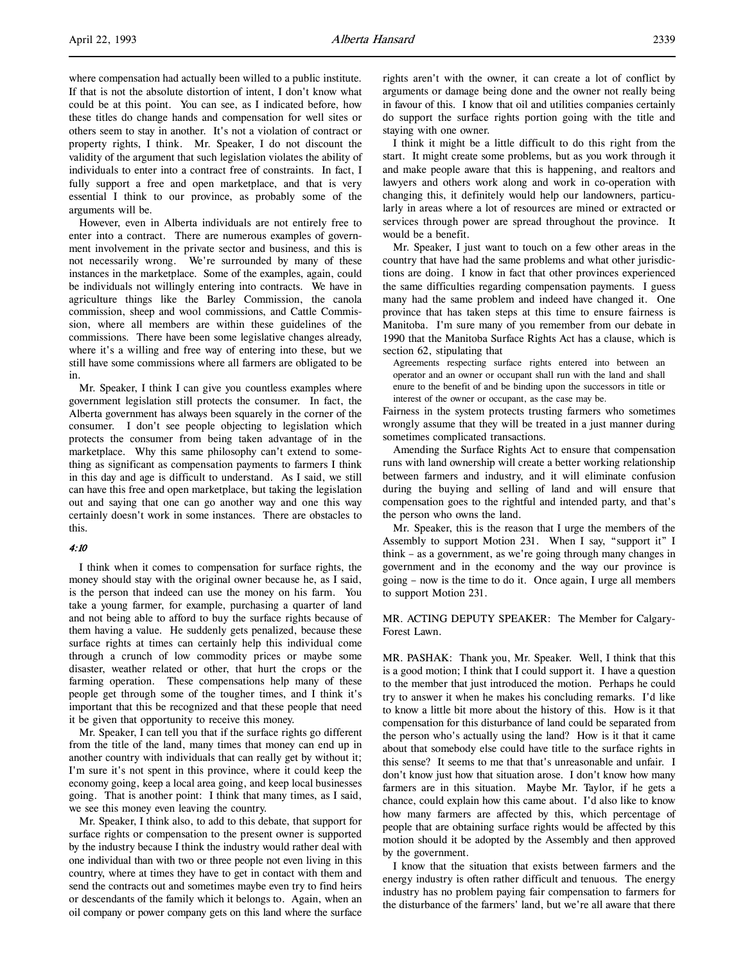where compensation had actually been willed to a public institute. If that is not the absolute distortion of intent, I don't know what could be at this point. You can see, as I indicated before, how these titles do change hands and compensation for well sites or others seem to stay in another. It's not a violation of contract or property rights, I think. Mr. Speaker, I do not discount the validity of the argument that such legislation violates the ability of individuals to enter into a contract free of constraints. In fact, I fully support a free and open marketplace, and that is very essential I think to our province, as probably some of the arguments will be.

However, even in Alberta individuals are not entirely free to enter into a contract. There are numerous examples of government involvement in the private sector and business, and this is not necessarily wrong. We're surrounded by many of these instances in the marketplace. Some of the examples, again, could be individuals not willingly entering into contracts. We have in agriculture things like the Barley Commission, the canola commission, sheep and wool commissions, and Cattle Commission, where all members are within these guidelines of the commissions. There have been some legislative changes already, where it's a willing and free way of entering into these, but we still have some commissions where all farmers are obligated to be in.

Mr. Speaker, I think I can give you countless examples where government legislation still protects the consumer. In fact, the Alberta government has always been squarely in the corner of the consumer. I don't see people objecting to legislation which protects the consumer from being taken advantage of in the marketplace. Why this same philosophy can't extend to something as significant as compensation payments to farmers I think in this day and age is difficult to understand. As I said, we still can have this free and open marketplace, but taking the legislation out and saying that one can go another way and one this way certainly doesn't work in some instances. There are obstacles to this.

#### 4:10

I think when it comes to compensation for surface rights, the money should stay with the original owner because he, as I said, is the person that indeed can use the money on his farm. You take a young farmer, for example, purchasing a quarter of land and not being able to afford to buy the surface rights because of them having a value. He suddenly gets penalized, because these surface rights at times can certainly help this individual come through a crunch of low commodity prices or maybe some disaster, weather related or other, that hurt the crops or the farming operation. These compensations help many of these people get through some of the tougher times, and I think it's important that this be recognized and that these people that need it be given that opportunity to receive this money.

Mr. Speaker, I can tell you that if the surface rights go different from the title of the land, many times that money can end up in another country with individuals that can really get by without it; I'm sure it's not spent in this province, where it could keep the economy going, keep a local area going, and keep local businesses going. That is another point: I think that many times, as I said, we see this money even leaving the country.

Mr. Speaker, I think also, to add to this debate, that support for surface rights or compensation to the present owner is supported by the industry because I think the industry would rather deal with one individual than with two or three people not even living in this country, where at times they have to get in contact with them and send the contracts out and sometimes maybe even try to find heirs or descendants of the family which it belongs to. Again, when an oil company or power company gets on this land where the surface

rights aren't with the owner, it can create a lot of conflict by arguments or damage being done and the owner not really being in favour of this. I know that oil and utilities companies certainly do support the surface rights portion going with the title and staying with one owner.

I think it might be a little difficult to do this right from the start. It might create some problems, but as you work through it and make people aware that this is happening, and realtors and lawyers and others work along and work in co-operation with changing this, it definitely would help our landowners, particularly in areas where a lot of resources are mined or extracted or services through power are spread throughout the province. It would be a benefit.

Mr. Speaker, I just want to touch on a few other areas in the country that have had the same problems and what other jurisdictions are doing. I know in fact that other provinces experienced the same difficulties regarding compensation payments. I guess many had the same problem and indeed have changed it. One province that has taken steps at this time to ensure fairness is Manitoba. I'm sure many of you remember from our debate in 1990 that the Manitoba Surface Rights Act has a clause, which is section 62, stipulating that

Agreements respecting surface rights entered into between an operator and an owner or occupant shall run with the land and shall enure to the benefit of and be binding upon the successors in title or interest of the owner or occupant, as the case may be.

Fairness in the system protects trusting farmers who sometimes wrongly assume that they will be treated in a just manner during sometimes complicated transactions.

Amending the Surface Rights Act to ensure that compensation runs with land ownership will create a better working relationship between farmers and industry, and it will eliminate confusion during the buying and selling of land and will ensure that compensation goes to the rightful and intended party, and that's the person who owns the land.

Mr. Speaker, this is the reason that I urge the members of the Assembly to support Motion 231. When I say, "support it" I think – as a government, as we're going through many changes in government and in the economy and the way our province is going – now is the time to do it. Once again, I urge all members to support Motion 231.

MR. ACTING DEPUTY SPEAKER: The Member for Calgary-Forest Lawn.

MR. PASHAK: Thank you, Mr. Speaker. Well, I think that this is a good motion; I think that I could support it. I have a question to the member that just introduced the motion. Perhaps he could try to answer it when he makes his concluding remarks. I'd like to know a little bit more about the history of this. How is it that compensation for this disturbance of land could be separated from the person who's actually using the land? How is it that it came about that somebody else could have title to the surface rights in this sense? It seems to me that that's unreasonable and unfair. I don't know just how that situation arose. I don't know how many farmers are in this situation. Maybe Mr. Taylor, if he gets a chance, could explain how this came about. I'd also like to know how many farmers are affected by this, which percentage of people that are obtaining surface rights would be affected by this motion should it be adopted by the Assembly and then approved by the government.

I know that the situation that exists between farmers and the energy industry is often rather difficult and tenuous. The energy industry has no problem paying fair compensation to farmers for the disturbance of the farmers' land, but we're all aware that there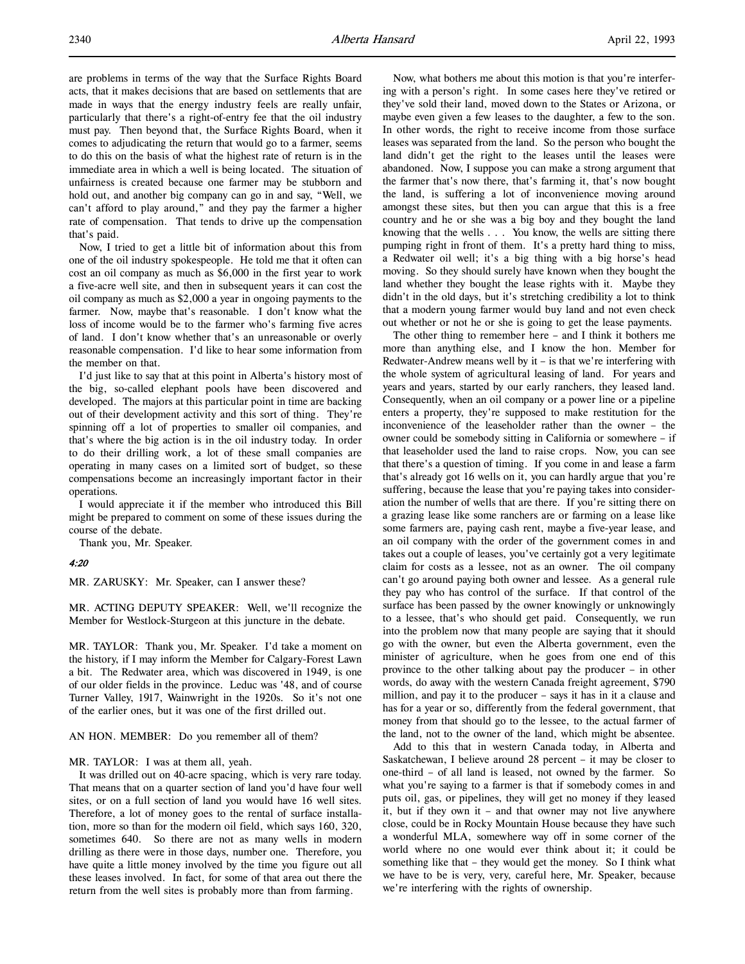are problems in terms of the way that the Surface Rights Board acts, that it makes decisions that are based on settlements that are made in ways that the energy industry feels are really unfair, particularly that there's a right-of-entry fee that the oil industry must pay. Then beyond that, the Surface Rights Board, when it comes to adjudicating the return that would go to a farmer, seems to do this on the basis of what the highest rate of return is in the immediate area in which a well is being located. The situation of unfairness is created because one farmer may be stubborn and hold out, and another big company can go in and say, "Well, we can't afford to play around," and they pay the farmer a higher rate of compensation. That tends to drive up the compensation that's paid.

Now, I tried to get a little bit of information about this from one of the oil industry spokespeople. He told me that it often can cost an oil company as much as \$6,000 in the first year to work a five-acre well site, and then in subsequent years it can cost the oil company as much as \$2,000 a year in ongoing payments to the farmer. Now, maybe that's reasonable. I don't know what the loss of income would be to the farmer who's farming five acres of land. I don't know whether that's an unreasonable or overly reasonable compensation. I'd like to hear some information from the member on that.

I'd just like to say that at this point in Alberta's history most of the big, so-called elephant pools have been discovered and developed. The majors at this particular point in time are backing out of their development activity and this sort of thing. They're spinning off a lot of properties to smaller oil companies, and that's where the big action is in the oil industry today. In order to do their drilling work, a lot of these small companies are operating in many cases on a limited sort of budget, so these compensations become an increasingly important factor in their operations.

I would appreciate it if the member who introduced this Bill might be prepared to comment on some of these issues during the course of the debate.

Thank you, Mr. Speaker.

### 4:20

MR. ZARUSKY: Mr. Speaker, can I answer these?

MR. ACTING DEPUTY SPEAKER: Well, we'll recognize the Member for Westlock-Sturgeon at this juncture in the debate.

MR. TAYLOR: Thank you, Mr. Speaker. I'd take a moment on the history, if I may inform the Member for Calgary-Forest Lawn a bit. The Redwater area, which was discovered in 1949, is one of our older fields in the province. Leduc was '48, and of course Turner Valley, 1917, Wainwright in the 1920s. So it's not one of the earlier ones, but it was one of the first drilled out.

#### AN HON. MEMBER: Do you remember all of them?

MR. TAYLOR: I was at them all, yeah.

It was drilled out on 40-acre spacing, which is very rare today. That means that on a quarter section of land you'd have four well sites, or on a full section of land you would have 16 well sites. Therefore, a lot of money goes to the rental of surface installation, more so than for the modern oil field, which says 160, 320, sometimes 640. So there are not as many wells in modern drilling as there were in those days, number one. Therefore, you have quite a little money involved by the time you figure out all these leases involved. In fact, for some of that area out there the return from the well sites is probably more than from farming.

Now, what bothers me about this motion is that you're interfering with a person's right. In some cases here they've retired or they've sold their land, moved down to the States or Arizona, or maybe even given a few leases to the daughter, a few to the son. In other words, the right to receive income from those surface leases was separated from the land. So the person who bought the land didn't get the right to the leases until the leases were abandoned. Now, I suppose you can make a strong argument that the farmer that's now there, that's farming it, that's now bought the land, is suffering a lot of inconvenience moving around amongst these sites, but then you can argue that this is a free country and he or she was a big boy and they bought the land knowing that the wells . . . You know, the wells are sitting there pumping right in front of them. It's a pretty hard thing to miss, a Redwater oil well; it's a big thing with a big horse's head moving. So they should surely have known when they bought the land whether they bought the lease rights with it. Maybe they didn't in the old days, but it's stretching credibility a lot to think that a modern young farmer would buy land and not even check out whether or not he or she is going to get the lease payments.

The other thing to remember here – and I think it bothers me more than anything else, and I know the hon. Member for Redwater-Andrew means well by  $it - is that we're interfering with$ the whole system of agricultural leasing of land. For years and years and years, started by our early ranchers, they leased land. Consequently, when an oil company or a power line or a pipeline enters a property, they're supposed to make restitution for the inconvenience of the leaseholder rather than the owner – the owner could be somebody sitting in California or somewhere – if that leaseholder used the land to raise crops. Now, you can see that there's a question of timing. If you come in and lease a farm that's already got 16 wells on it, you can hardly argue that you're suffering, because the lease that you're paying takes into consideration the number of wells that are there. If you're sitting there on a grazing lease like some ranchers are or farming on a lease like some farmers are, paying cash rent, maybe a five-year lease, and an oil company with the order of the government comes in and takes out a couple of leases, you've certainly got a very legitimate claim for costs as a lessee, not as an owner. The oil company can't go around paying both owner and lessee. As a general rule they pay who has control of the surface. If that control of the surface has been passed by the owner knowingly or unknowingly to a lessee, that's who should get paid. Consequently, we run into the problem now that many people are saying that it should go with the owner, but even the Alberta government, even the minister of agriculture, when he goes from one end of this province to the other talking about pay the producer – in other words, do away with the western Canada freight agreement, \$790 million, and pay it to the producer – says it has in it a clause and has for a year or so, differently from the federal government, that money from that should go to the lessee, to the actual farmer of the land, not to the owner of the land, which might be absentee.

Add to this that in western Canada today, in Alberta and Saskatchewan, I believe around 28 percent – it may be closer to one-third – of all land is leased, not owned by the farmer. So what you're saying to a farmer is that if somebody comes in and puts oil, gas, or pipelines, they will get no money if they leased it, but if they own it – and that owner may not live anywhere close, could be in Rocky Mountain House because they have such a wonderful MLA, somewhere way off in some corner of the world where no one would ever think about it; it could be something like that – they would get the money. So I think what we have to be is very, very, careful here, Mr. Speaker, because we're interfering with the rights of ownership.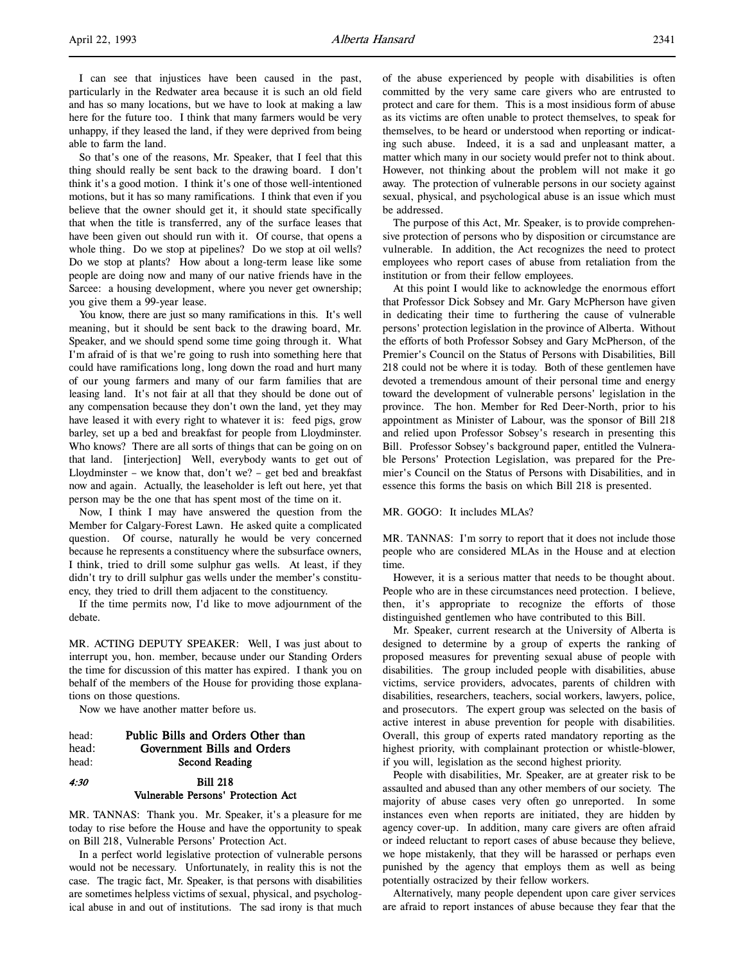I can see that injustices have been caused in the past, particularly in the Redwater area because it is such an old field and has so many locations, but we have to look at making a law here for the future too. I think that many farmers would be very unhappy, if they leased the land, if they were deprived from being able to farm the land.

So that's one of the reasons, Mr. Speaker, that I feel that this thing should really be sent back to the drawing board. I don't think it's a good motion. I think it's one of those well-intentioned motions, but it has so many ramifications. I think that even if you believe that the owner should get it, it should state specifically that when the title is transferred, any of the surface leases that have been given out should run with it. Of course, that opens a whole thing. Do we stop at pipelines? Do we stop at oil wells? Do we stop at plants? How about a long-term lease like some people are doing now and many of our native friends have in the Sarcee: a housing development, where you never get ownership; you give them a 99-year lease.

You know, there are just so many ramifications in this. It's well meaning, but it should be sent back to the drawing board, Mr. Speaker, and we should spend some time going through it. What I'm afraid of is that we're going to rush into something here that could have ramifications long, long down the road and hurt many of our young farmers and many of our farm families that are leasing land. It's not fair at all that they should be done out of any compensation because they don't own the land, yet they may have leased it with every right to whatever it is: feed pigs, grow barley, set up a bed and breakfast for people from Lloydminster. Who knows? There are all sorts of things that can be going on on that land. [interjection] Well, everybody wants to get out of Lloydminster – we know that, don't we? – get bed and breakfast now and again. Actually, the leaseholder is left out here, yet that person may be the one that has spent most of the time on it.

Now, I think I may have answered the question from the Member for Calgary-Forest Lawn. He asked quite a complicated question. Of course, naturally he would be very concerned because he represents a constituency where the subsurface owners, I think, tried to drill some sulphur gas wells. At least, if they didn't try to drill sulphur gas wells under the member's constituency, they tried to drill them adjacent to the constituency.

If the time permits now, I'd like to move adjournment of the debate.

MR. ACTING DEPUTY SPEAKER: Well, I was just about to interrupt you, hon. member, because under our Standing Orders the time for discussion of this matter has expired. I thank you on behalf of the members of the House for providing those explanations on those questions.

Now we have another matter before us.

head: Public Bills and Orders Other than head: Government Bills and Orders head: Second Reading 4:30 Bill 218

# Vulnerable Persons' Protection Act

MR. TANNAS: Thank you. Mr. Speaker, it's a pleasure for me today to rise before the House and have the opportunity to speak on Bill 218, Vulnerable Persons' Protection Act.

In a perfect world legislative protection of vulnerable persons would not be necessary. Unfortunately, in reality this is not the case. The tragic fact, Mr. Speaker, is that persons with disabilities are sometimes helpless victims of sexual, physical, and psychological abuse in and out of institutions. The sad irony is that much of the abuse experienced by people with disabilities is often committed by the very same care givers who are entrusted to protect and care for them. This is a most insidious form of abuse as its victims are often unable to protect themselves, to speak for themselves, to be heard or understood when reporting or indicating such abuse. Indeed, it is a sad and unpleasant matter, a matter which many in our society would prefer not to think about. However, not thinking about the problem will not make it go away. The protection of vulnerable persons in our society against sexual, physical, and psychological abuse is an issue which must be addressed.

The purpose of this Act, Mr. Speaker, is to provide comprehensive protection of persons who by disposition or circumstance are vulnerable. In addition, the Act recognizes the need to protect employees who report cases of abuse from retaliation from the institution or from their fellow employees.

At this point I would like to acknowledge the enormous effort that Professor Dick Sobsey and Mr. Gary McPherson have given in dedicating their time to furthering the cause of vulnerable persons' protection legislation in the province of Alberta. Without the efforts of both Professor Sobsey and Gary McPherson, of the Premier's Council on the Status of Persons with Disabilities, Bill 218 could not be where it is today. Both of these gentlemen have devoted a tremendous amount of their personal time and energy toward the development of vulnerable persons' legislation in the province. The hon. Member for Red Deer-North, prior to his appointment as Minister of Labour, was the sponsor of Bill 218 and relied upon Professor Sobsey's research in presenting this Bill. Professor Sobsey's background paper, entitled the Vulnerable Persons' Protection Legislation, was prepared for the Premier's Council on the Status of Persons with Disabilities, and in essence this forms the basis on which Bill 218 is presented.

#### MR. GOGO: It includes MLAs?

MR. TANNAS: I'm sorry to report that it does not include those people who are considered MLAs in the House and at election time.

However, it is a serious matter that needs to be thought about. People who are in these circumstances need protection. I believe, then, it's appropriate to recognize the efforts of those distinguished gentlemen who have contributed to this Bill.

Mr. Speaker, current research at the University of Alberta is designed to determine by a group of experts the ranking of proposed measures for preventing sexual abuse of people with disabilities. The group included people with disabilities, abuse victims, service providers, advocates, parents of children with disabilities, researchers, teachers, social workers, lawyers, police, and prosecutors. The expert group was selected on the basis of active interest in abuse prevention for people with disabilities. Overall, this group of experts rated mandatory reporting as the highest priority, with complainant protection or whistle-blower, if you will, legislation as the second highest priority.

People with disabilities, Mr. Speaker, are at greater risk to be assaulted and abused than any other members of our society. The majority of abuse cases very often go unreported. In some instances even when reports are initiated, they are hidden by agency cover-up. In addition, many care givers are often afraid or indeed reluctant to report cases of abuse because they believe, we hope mistakenly, that they will be harassed or perhaps even punished by the agency that employs them as well as being potentially ostracized by their fellow workers.

Alternatively, many people dependent upon care giver services are afraid to report instances of abuse because they fear that the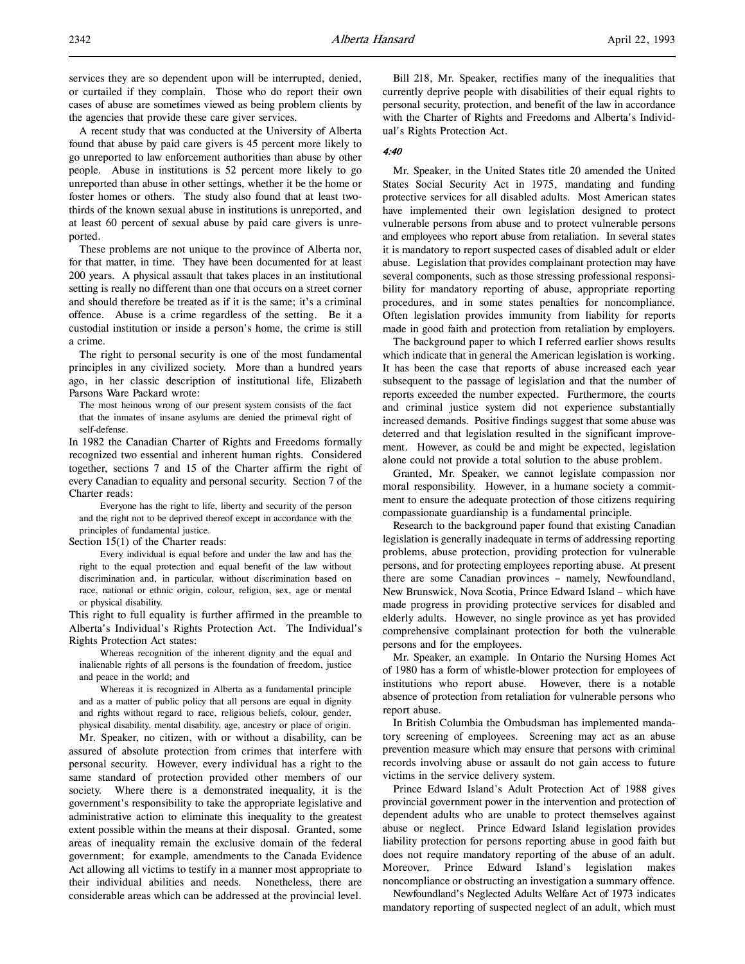services they are so dependent upon will be interrupted, denied, or curtailed if they complain. Those who do report their own cases of abuse are sometimes viewed as being problem clients by the agencies that provide these care giver services.

A recent study that was conducted at the University of Alberta found that abuse by paid care givers is 45 percent more likely to go unreported to law enforcement authorities than abuse by other people. Abuse in institutions is 52 percent more likely to go unreported than abuse in other settings, whether it be the home or foster homes or others. The study also found that at least twothirds of the known sexual abuse in institutions is unreported, and at least 60 percent of sexual abuse by paid care givers is unreported.

These problems are not unique to the province of Alberta nor, for that matter, in time. They have been documented for at least 200 years. A physical assault that takes places in an institutional setting is really no different than one that occurs on a street corner and should therefore be treated as if it is the same; it's a criminal offence. Abuse is a crime regardless of the setting. Be it a custodial institution or inside a person's home, the crime is still a crime.

The right to personal security is one of the most fundamental principles in any civilized society. More than a hundred years ago, in her classic description of institutional life, Elizabeth Parsons Ware Packard wrote:

The most heinous wrong of our present system consists of the fact that the inmates of insane asylums are denied the primeval right of self-defense.

In 1982 the Canadian Charter of Rights and Freedoms formally recognized two essential and inherent human rights. Considered together, sections 7 and 15 of the Charter affirm the right of every Canadian to equality and personal security. Section 7 of the Charter reads:

Everyone has the right to life, liberty and security of the person and the right not to be deprived thereof except in accordance with the principles of fundamental justice.

Section 15(1) of the Charter reads:

Every individual is equal before and under the law and has the right to the equal protection and equal benefit of the law without discrimination and, in particular, without discrimination based on race, national or ethnic origin, colour, religion, sex, age or mental or physical disability.

This right to full equality is further affirmed in the preamble to Alberta's Individual's Rights Protection Act. The Individual's Rights Protection Act states:

Whereas recognition of the inherent dignity and the equal and inalienable rights of all persons is the foundation of freedom, justice and peace in the world; and

Whereas it is recognized in Alberta as a fundamental principle and as a matter of public policy that all persons are equal in dignity and rights without regard to race, religious beliefs, colour, gender, physical disability, mental disability, age, ancestry or place of origin.

Mr. Speaker, no citizen, with or without a disability, can be assured of absolute protection from crimes that interfere with personal security. However, every individual has a right to the same standard of protection provided other members of our society. Where there is a demonstrated inequality, it is the government's responsibility to take the appropriate legislative and administrative action to eliminate this inequality to the greatest extent possible within the means at their disposal. Granted, some areas of inequality remain the exclusive domain of the federal government; for example, amendments to the Canada Evidence Act allowing all victims to testify in a manner most appropriate to their individual abilities and needs. Nonetheless, there are considerable areas which can be addressed at the provincial level.

Bill 218, Mr. Speaker, rectifies many of the inequalities that currently deprive people with disabilities of their equal rights to personal security, protection, and benefit of the law in accordance with the Charter of Rights and Freedoms and Alberta's Individual's Rights Protection Act.

#### 4:40

Mr. Speaker, in the United States title 20 amended the United States Social Security Act in 1975, mandating and funding protective services for all disabled adults. Most American states have implemented their own legislation designed to protect vulnerable persons from abuse and to protect vulnerable persons and employees who report abuse from retaliation. In several states it is mandatory to report suspected cases of disabled adult or elder abuse. Legislation that provides complainant protection may have several components, such as those stressing professional responsibility for mandatory reporting of abuse, appropriate reporting procedures, and in some states penalties for noncompliance. Often legislation provides immunity from liability for reports made in good faith and protection from retaliation by employers.

The background paper to which I referred earlier shows results which indicate that in general the American legislation is working. It has been the case that reports of abuse increased each year subsequent to the passage of legislation and that the number of reports exceeded the number expected. Furthermore, the courts and criminal justice system did not experience substantially increased demands. Positive findings suggest that some abuse was deterred and that legislation resulted in the significant improvement. However, as could be and might be expected, legislation alone could not provide a total solution to the abuse problem.

Granted, Mr. Speaker, we cannot legislate compassion nor moral responsibility. However, in a humane society a commitment to ensure the adequate protection of those citizens requiring compassionate guardianship is a fundamental principle.

Research to the background paper found that existing Canadian legislation is generally inadequate in terms of addressing reporting problems, abuse protection, providing protection for vulnerable persons, and for protecting employees reporting abuse. At present there are some Canadian provinces – namely, Newfoundland, New Brunswick, Nova Scotia, Prince Edward Island – which have made progress in providing protective services for disabled and elderly adults. However, no single province as yet has provided comprehensive complainant protection for both the vulnerable persons and for the employees.

Mr. Speaker, an example. In Ontario the Nursing Homes Act of 1980 has a form of whistle-blower protection for employees of institutions who report abuse. However, there is a notable absence of protection from retaliation for vulnerable persons who report abuse.

In British Columbia the Ombudsman has implemented mandatory screening of employees. Screening may act as an abuse prevention measure which may ensure that persons with criminal records involving abuse or assault do not gain access to future victims in the service delivery system.

Prince Edward Island's Adult Protection Act of 1988 gives provincial government power in the intervention and protection of dependent adults who are unable to protect themselves against abuse or neglect. Prince Edward Island legislation provides liability protection for persons reporting abuse in good faith but does not require mandatory reporting of the abuse of an adult. Moreover, Prince Edward Island's legislation makes noncompliance or obstructing an investigation a summary offence.

Newfoundland's Neglected Adults Welfare Act of 1973 indicates mandatory reporting of suspected neglect of an adult, which must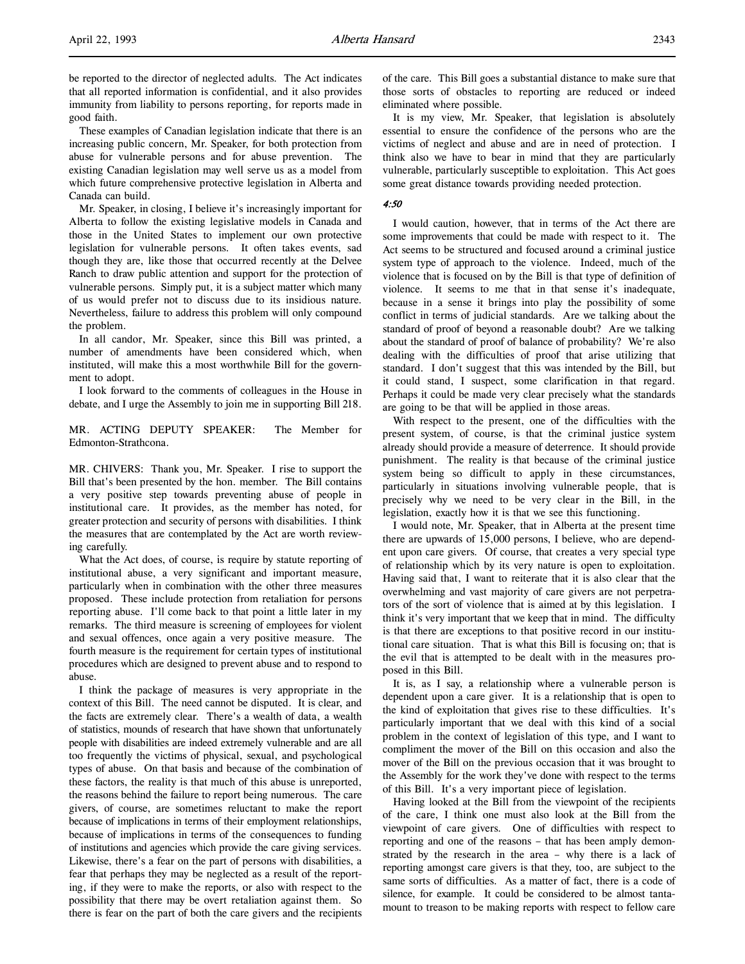These examples of Canadian legislation indicate that there is an increasing public concern, Mr. Speaker, for both protection from abuse for vulnerable persons and for abuse prevention. The existing Canadian legislation may well serve us as a model from which future comprehensive protective legislation in Alberta and Canada can build.

Mr. Speaker, in closing, I believe it's increasingly important for Alberta to follow the existing legislative models in Canada and those in the United States to implement our own protective legislation for vulnerable persons. It often takes events, sad though they are, like those that occurred recently at the Delvee Ranch to draw public attention and support for the protection of vulnerable persons. Simply put, it is a subject matter which many of us would prefer not to discuss due to its insidious nature. Nevertheless, failure to address this problem will only compound the problem.

In all candor, Mr. Speaker, since this Bill was printed, a number of amendments have been considered which, when instituted, will make this a most worthwhile Bill for the government to adopt.

I look forward to the comments of colleagues in the House in debate, and I urge the Assembly to join me in supporting Bill 218.

MR. ACTING DEPUTY SPEAKER: The Member for Edmonton-Strathcona.

MR. CHIVERS: Thank you, Mr. Speaker. I rise to support the Bill that's been presented by the hon. member. The Bill contains a very positive step towards preventing abuse of people in institutional care. It provides, as the member has noted, for greater protection and security of persons with disabilities. I think the measures that are contemplated by the Act are worth reviewing carefully.

What the Act does, of course, is require by statute reporting of institutional abuse, a very significant and important measure, particularly when in combination with the other three measures proposed. These include protection from retaliation for persons reporting abuse. I'll come back to that point a little later in my remarks. The third measure is screening of employees for violent and sexual offences, once again a very positive measure. The fourth measure is the requirement for certain types of institutional procedures which are designed to prevent abuse and to respond to abuse.

I think the package of measures is very appropriate in the context of this Bill. The need cannot be disputed. It is clear, and the facts are extremely clear. There's a wealth of data, a wealth of statistics, mounds of research that have shown that unfortunately people with disabilities are indeed extremely vulnerable and are all too frequently the victims of physical, sexual, and psychological types of abuse. On that basis and because of the combination of these factors, the reality is that much of this abuse is unreported, the reasons behind the failure to report being numerous. The care givers, of course, are sometimes reluctant to make the report because of implications in terms of their employment relationships, because of implications in terms of the consequences to funding of institutions and agencies which provide the care giving services. Likewise, there's a fear on the part of persons with disabilities, a fear that perhaps they may be neglected as a result of the reporting, if they were to make the reports, or also with respect to the possibility that there may be overt retaliation against them. So there is fear on the part of both the care givers and the recipients

of the care. This Bill goes a substantial distance to make sure that those sorts of obstacles to reporting are reduced or indeed eliminated where possible.

It is my view, Mr. Speaker, that legislation is absolutely essential to ensure the confidence of the persons who are the victims of neglect and abuse and are in need of protection. I think also we have to bear in mind that they are particularly vulnerable, particularly susceptible to exploitation. This Act goes some great distance towards providing needed protection.

#### 4:50

I would caution, however, that in terms of the Act there are some improvements that could be made with respect to it. The Act seems to be structured and focused around a criminal justice system type of approach to the violence. Indeed, much of the violence that is focused on by the Bill is that type of definition of violence. It seems to me that in that sense it's inadequate, because in a sense it brings into play the possibility of some conflict in terms of judicial standards. Are we talking about the standard of proof of beyond a reasonable doubt? Are we talking about the standard of proof of balance of probability? We're also dealing with the difficulties of proof that arise utilizing that standard. I don't suggest that this was intended by the Bill, but it could stand, I suspect, some clarification in that regard. Perhaps it could be made very clear precisely what the standards are going to be that will be applied in those areas.

With respect to the present, one of the difficulties with the present system, of course, is that the criminal justice system already should provide a measure of deterrence. It should provide punishment. The reality is that because of the criminal justice system being so difficult to apply in these circumstances, particularly in situations involving vulnerable people, that is precisely why we need to be very clear in the Bill, in the legislation, exactly how it is that we see this functioning.

I would note, Mr. Speaker, that in Alberta at the present time there are upwards of 15,000 persons, I believe, who are dependent upon care givers. Of course, that creates a very special type of relationship which by its very nature is open to exploitation. Having said that, I want to reiterate that it is also clear that the overwhelming and vast majority of care givers are not perpetrators of the sort of violence that is aimed at by this legislation. I think it's very important that we keep that in mind. The difficulty is that there are exceptions to that positive record in our institutional care situation. That is what this Bill is focusing on; that is the evil that is attempted to be dealt with in the measures proposed in this Bill.

It is, as I say, a relationship where a vulnerable person is dependent upon a care giver. It is a relationship that is open to the kind of exploitation that gives rise to these difficulties. It's particularly important that we deal with this kind of a social problem in the context of legislation of this type, and I want to compliment the mover of the Bill on this occasion and also the mover of the Bill on the previous occasion that it was brought to the Assembly for the work they've done with respect to the terms of this Bill. It's a very important piece of legislation.

Having looked at the Bill from the viewpoint of the recipients of the care, I think one must also look at the Bill from the viewpoint of care givers. One of difficulties with respect to reporting and one of the reasons – that has been amply demonstrated by the research in the area – why there is a lack of reporting amongst care givers is that they, too, are subject to the same sorts of difficulties. As a matter of fact, there is a code of silence, for example. It could be considered to be almost tantamount to treason to be making reports with respect to fellow care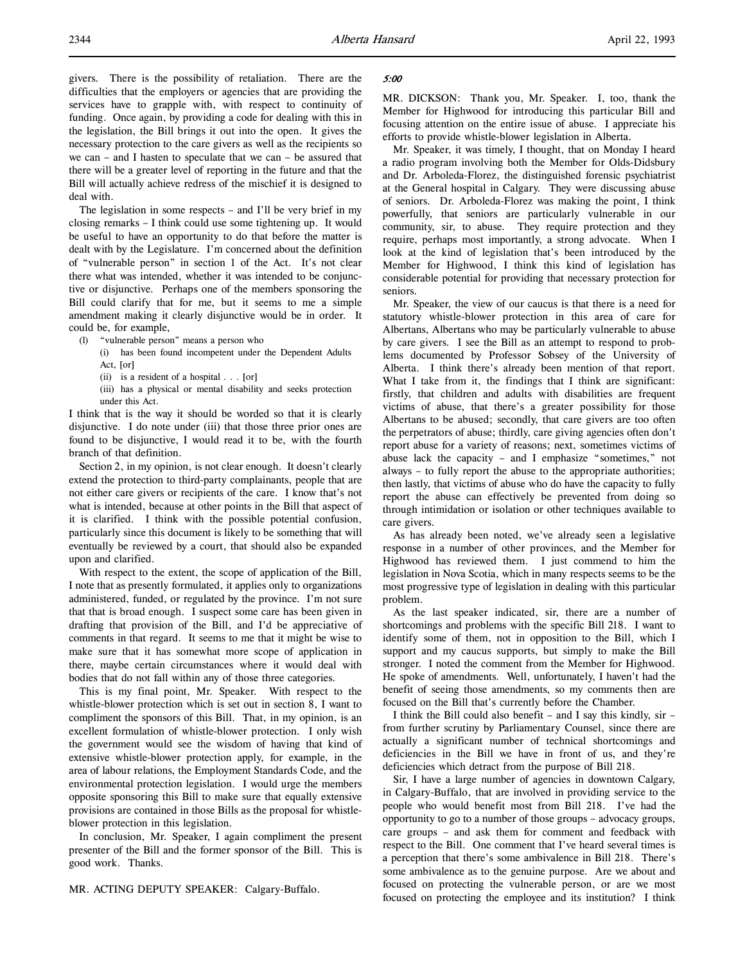givers. There is the possibility of retaliation. There are the difficulties that the employers or agencies that are providing the services have to grapple with, with respect to continuity of funding. Once again, by providing a code for dealing with this in the legislation, the Bill brings it out into the open. It gives the necessary protection to the care givers as well as the recipients so we can – and I hasten to speculate that we can – be assured that there will be a greater level of reporting in the future and that the Bill will actually achieve redress of the mischief it is designed to deal with.

The legislation in some respects – and I'll be very brief in my closing remarks – I think could use some tightening up. It would be useful to have an opportunity to do that before the matter is dealt with by the Legislature. I'm concerned about the definition of "vulnerable person" in section 1 of the Act. It's not clear there what was intended, whether it was intended to be conjunctive or disjunctive. Perhaps one of the members sponsoring the Bill could clarify that for me, but it seems to me a simple amendment making it clearly disjunctive would be in order. It could be, for example,

- (l) "vulnerable person" means a person who
	- (i) has been found incompetent under the Dependent Adults Act, [or]
		- (ii) is a resident of a hospital . . . [or]

(iii) has a physical or mental disability and seeks protection under this Act.

I think that is the way it should be worded so that it is clearly disjunctive. I do note under (iii) that those three prior ones are found to be disjunctive, I would read it to be, with the fourth branch of that definition.

Section 2, in my opinion, is not clear enough. It doesn't clearly extend the protection to third-party complainants, people that are not either care givers or recipients of the care. I know that's not what is intended, because at other points in the Bill that aspect of it is clarified. I think with the possible potential confusion, particularly since this document is likely to be something that will eventually be reviewed by a court, that should also be expanded upon and clarified.

With respect to the extent, the scope of application of the Bill, I note that as presently formulated, it applies only to organizations administered, funded, or regulated by the province. I'm not sure that that is broad enough. I suspect some care has been given in drafting that provision of the Bill, and I'd be appreciative of comments in that regard. It seems to me that it might be wise to make sure that it has somewhat more scope of application in there, maybe certain circumstances where it would deal with bodies that do not fall within any of those three categories.

This is my final point, Mr. Speaker. With respect to the whistle-blower protection which is set out in section 8, I want to compliment the sponsors of this Bill. That, in my opinion, is an excellent formulation of whistle-blower protection. I only wish the government would see the wisdom of having that kind of extensive whistle-blower protection apply, for example, in the area of labour relations, the Employment Standards Code, and the environmental protection legislation. I would urge the members opposite sponsoring this Bill to make sure that equally extensive provisions are contained in those Bills as the proposal for whistleblower protection in this legislation.

In conclusion, Mr. Speaker, I again compliment the present presenter of the Bill and the former sponsor of the Bill. This is good work. Thanks.

## 5:00

MR. DICKSON: Thank you, Mr. Speaker. I, too, thank the Member for Highwood for introducing this particular Bill and focusing attention on the entire issue of abuse. I appreciate his efforts to provide whistle-blower legislation in Alberta.

Mr. Speaker, it was timely, I thought, that on Monday I heard a radio program involving both the Member for Olds-Didsbury and Dr. Arboleda-Florez, the distinguished forensic psychiatrist at the General hospital in Calgary. They were discussing abuse of seniors. Dr. Arboleda-Florez was making the point, I think powerfully, that seniors are particularly vulnerable in our community, sir, to abuse. They require protection and they require, perhaps most importantly, a strong advocate. When I look at the kind of legislation that's been introduced by the Member for Highwood, I think this kind of legislation has considerable potential for providing that necessary protection for seniors.

Mr. Speaker, the view of our caucus is that there is a need for statutory whistle-blower protection in this area of care for Albertans, Albertans who may be particularly vulnerable to abuse by care givers. I see the Bill as an attempt to respond to problems documented by Professor Sobsey of the University of Alberta. I think there's already been mention of that report. What I take from it, the findings that I think are significant: firstly, that children and adults with disabilities are frequent victims of abuse, that there's a greater possibility for those Albertans to be abused; secondly, that care givers are too often the perpetrators of abuse; thirdly, care giving agencies often don't report abuse for a variety of reasons; next, sometimes victims of abuse lack the capacity – and I emphasize "sometimes," not always – to fully report the abuse to the appropriate authorities; then lastly, that victims of abuse who do have the capacity to fully report the abuse can effectively be prevented from doing so through intimidation or isolation or other techniques available to care givers.

As has already been noted, we've already seen a legislative response in a number of other provinces, and the Member for Highwood has reviewed them. I just commend to him the legislation in Nova Scotia, which in many respects seems to be the most progressive type of legislation in dealing with this particular problem.

As the last speaker indicated, sir, there are a number of shortcomings and problems with the specific Bill 218. I want to identify some of them, not in opposition to the Bill, which I support and my caucus supports, but simply to make the Bill stronger. I noted the comment from the Member for Highwood. He spoke of amendments. Well, unfortunately, I haven't had the benefit of seeing those amendments, so my comments then are focused on the Bill that's currently before the Chamber.

I think the Bill could also benefit – and I say this kindly, sir – from further scrutiny by Parliamentary Counsel, since there are actually a significant number of technical shortcomings and deficiencies in the Bill we have in front of us, and they're deficiencies which detract from the purpose of Bill 218.

Sir, I have a large number of agencies in downtown Calgary, in Calgary-Buffalo, that are involved in providing service to the people who would benefit most from Bill 218. I've had the opportunity to go to a number of those groups – advocacy groups, care groups – and ask them for comment and feedback with respect to the Bill. One comment that I've heard several times is a perception that there's some ambivalence in Bill 218. There's some ambivalence as to the genuine purpose. Are we about and focused on protecting the vulnerable person, or are we most focused on protecting the employee and its institution? I think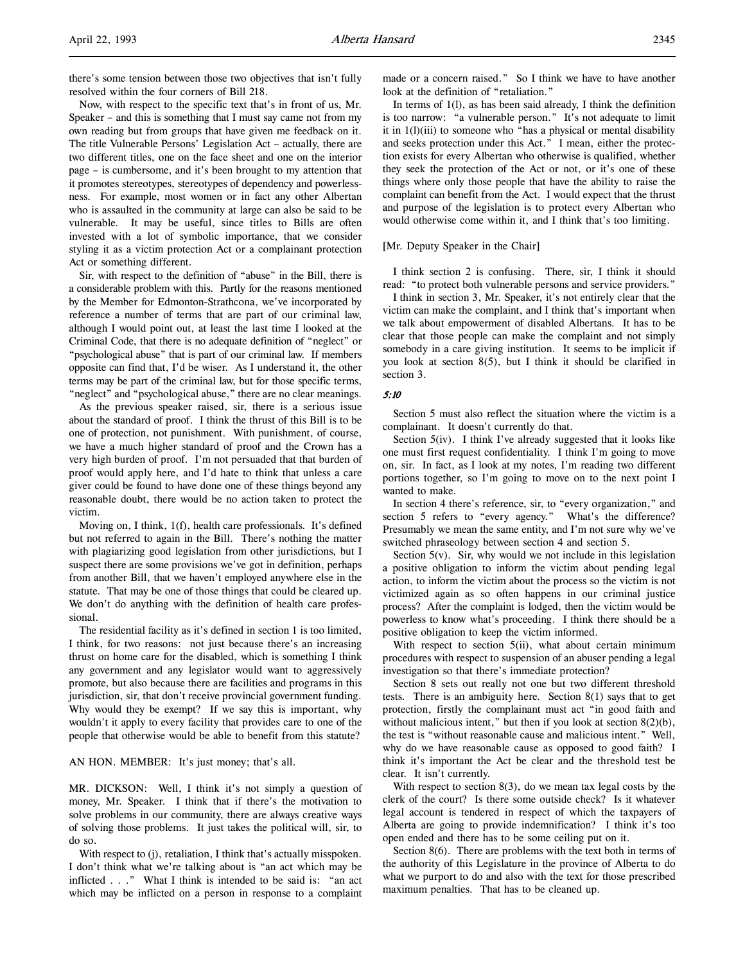Now, with respect to the specific text that's in front of us, Mr. Speaker – and this is something that I must say came not from my own reading but from groups that have given me feedback on it. The title Vulnerable Persons' Legislation Act – actually, there are two different titles, one on the face sheet and one on the interior page – is cumbersome, and it's been brought to my attention that it promotes stereotypes, stereotypes of dependency and powerlessness. For example, most women or in fact any other Albertan who is assaulted in the community at large can also be said to be vulnerable. It may be useful, since titles to Bills are often invested with a lot of symbolic importance, that we consider styling it as a victim protection Act or a complainant protection Act or something different.

Sir, with respect to the definition of "abuse" in the Bill, there is a considerable problem with this. Partly for the reasons mentioned by the Member for Edmonton-Strathcona, we've incorporated by reference a number of terms that are part of our criminal law, although I would point out, at least the last time I looked at the Criminal Code, that there is no adequate definition of "neglect" or "psychological abuse" that is part of our criminal law. If members opposite can find that, I'd be wiser. As I understand it, the other terms may be part of the criminal law, but for those specific terms, "neglect" and "psychological abuse," there are no clear meanings.

As the previous speaker raised, sir, there is a serious issue about the standard of proof. I think the thrust of this Bill is to be one of protection, not punishment. With punishment, of course, we have a much higher standard of proof and the Crown has a very high burden of proof. I'm not persuaded that that burden of proof would apply here, and I'd hate to think that unless a care giver could be found to have done one of these things beyond any reasonable doubt, there would be no action taken to protect the victim.

Moving on, I think, 1(f), health care professionals. It's defined but not referred to again in the Bill. There's nothing the matter with plagiarizing good legislation from other jurisdictions, but I suspect there are some provisions we've got in definition, perhaps from another Bill, that we haven't employed anywhere else in the statute. That may be one of those things that could be cleared up. We don't do anything with the definition of health care professional.

The residential facility as it's defined in section 1 is too limited, I think, for two reasons: not just because there's an increasing thrust on home care for the disabled, which is something I think any government and any legislator would want to aggressively promote, but also because there are facilities and programs in this jurisdiction, sir, that don't receive provincial government funding. Why would they be exempt? If we say this is important, why wouldn't it apply to every facility that provides care to one of the people that otherwise would be able to benefit from this statute?

#### AN HON. MEMBER: It's just money; that's all.

MR. DICKSON: Well, I think it's not simply a question of money, Mr. Speaker. I think that if there's the motivation to solve problems in our community, there are always creative ways of solving those problems. It just takes the political will, sir, to do so.

With respect to (j), retaliation, I think that's actually misspoken. I don't think what we're talking about is "an act which may be inflicted . . ." What I think is intended to be said is: "an act which may be inflicted on a person in response to a complaint

made or a concern raised." So I think we have to have another look at the definition of "retaliation."

In terms of 1(l), as has been said already, I think the definition is too narrow: "a vulnerable person." It's not adequate to limit it in 1(l)(iii) to someone who "has a physical or mental disability and seeks protection under this Act." I mean, either the protection exists for every Albertan who otherwise is qualified, whether they seek the protection of the Act or not, or it's one of these things where only those people that have the ability to raise the complaint can benefit from the Act. I would expect that the thrust and purpose of the legislation is to protect every Albertan who would otherwise come within it, and I think that's too limiting.

#### [Mr. Deputy Speaker in the Chair]

I think section 2 is confusing. There, sir, I think it should read: "to protect both vulnerable persons and service providers."

I think in section 3, Mr. Speaker, it's not entirely clear that the victim can make the complaint, and I think that's important when we talk about empowerment of disabled Albertans. It has to be clear that those people can make the complaint and not simply somebody in a care giving institution. It seems to be implicit if you look at section  $8(5)$ , but I think it should be clarified in section 3.

#### 5:10

Section 5 must also reflect the situation where the victim is a complainant. It doesn't currently do that.

Section 5(iv). I think I've already suggested that it looks like one must first request confidentiality. I think I'm going to move on, sir. In fact, as I look at my notes, I'm reading two different portions together, so I'm going to move on to the next point I wanted to make.

In section 4 there's reference, sir, to "every organization," and section 5 refers to "every agency." What's the difference? Presumably we mean the same entity, and I'm not sure why we've switched phraseology between section 4 and section 5.

Section  $5(y)$ . Sir, why would we not include in this legislation a positive obligation to inform the victim about pending legal action, to inform the victim about the process so the victim is not victimized again as so often happens in our criminal justice process? After the complaint is lodged, then the victim would be powerless to know what's proceeding. I think there should be a positive obligation to keep the victim informed.

With respect to section 5(ii), what about certain minimum procedures with respect to suspension of an abuser pending a legal investigation so that there's immediate protection?

Section 8 sets out really not one but two different threshold tests. There is an ambiguity here. Section 8(1) says that to get protection, firstly the complainant must act "in good faith and without malicious intent," but then if you look at section 8(2)(b), the test is "without reasonable cause and malicious intent." Well, why do we have reasonable cause as opposed to good faith? I think it's important the Act be clear and the threshold test be clear. It isn't currently.

With respect to section 8(3), do we mean tax legal costs by the clerk of the court? Is there some outside check? Is it whatever legal account is tendered in respect of which the taxpayers of Alberta are going to provide indemnification? I think it's too open ended and there has to be some ceiling put on it.

Section 8(6). There are problems with the text both in terms of the authority of this Legislature in the province of Alberta to do what we purport to do and also with the text for those prescribed maximum penalties. That has to be cleaned up.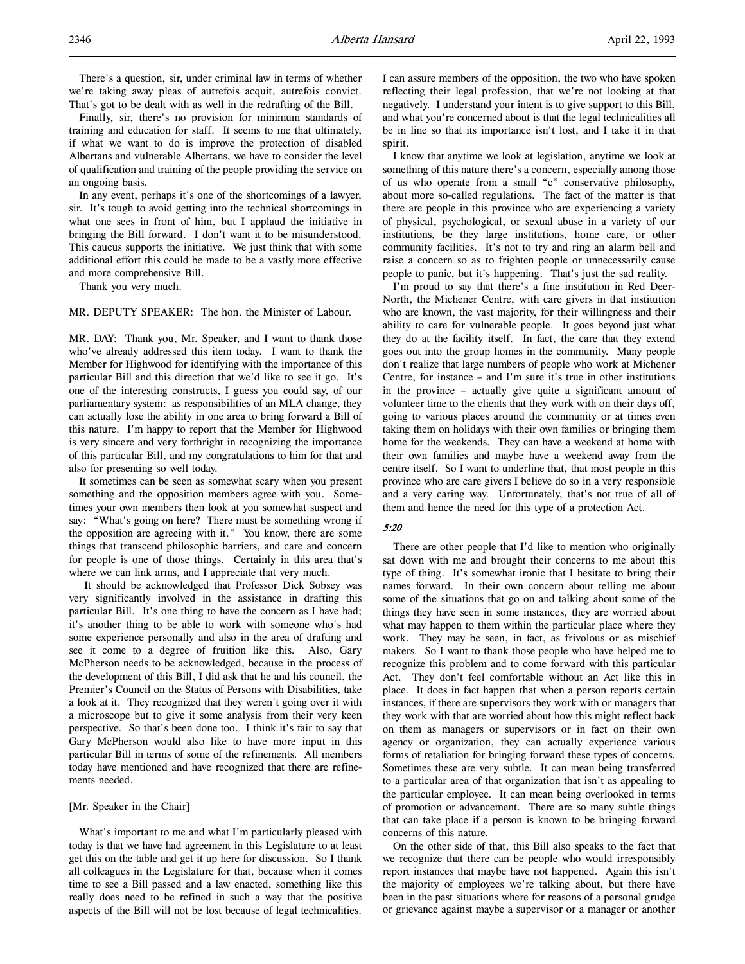There's a question, sir, under criminal law in terms of whether we're taking away pleas of autrefois acquit, autrefois convict. That's got to be dealt with as well in the redrafting of the Bill.

Finally, sir, there's no provision for minimum standards of training and education for staff. It seems to me that ultimately, if what we want to do is improve the protection of disabled Albertans and vulnerable Albertans, we have to consider the level of qualification and training of the people providing the service on an ongoing basis.

In any event, perhaps it's one of the shortcomings of a lawyer, sir. It's tough to avoid getting into the technical shortcomings in what one sees in front of him, but I applaud the initiative in bringing the Bill forward. I don't want it to be misunderstood. This caucus supports the initiative. We just think that with some additional effort this could be made to be a vastly more effective and more comprehensive Bill.

Thank you very much.

#### MR. DEPUTY SPEAKER: The hon. the Minister of Labour.

MR. DAY: Thank you, Mr. Speaker, and I want to thank those who've already addressed this item today. I want to thank the Member for Highwood for identifying with the importance of this particular Bill and this direction that we'd like to see it go. It's one of the interesting constructs, I guess you could say, of our parliamentary system: as responsibilities of an MLA change, they can actually lose the ability in one area to bring forward a Bill of this nature. I'm happy to report that the Member for Highwood is very sincere and very forthright in recognizing the importance of this particular Bill, and my congratulations to him for that and also for presenting so well today.

It sometimes can be seen as somewhat scary when you present something and the opposition members agree with you. Sometimes your own members then look at you somewhat suspect and say: "What's going on here? There must be something wrong if the opposition are agreeing with it." You know, there are some things that transcend philosophic barriers, and care and concern for people is one of those things. Certainly in this area that's where we can link arms, and I appreciate that very much.

 It should be acknowledged that Professor Dick Sobsey was very significantly involved in the assistance in drafting this particular Bill. It's one thing to have the concern as I have had; it's another thing to be able to work with someone who's had some experience personally and also in the area of drafting and see it come to a degree of fruition like this. Also, Gary McPherson needs to be acknowledged, because in the process of the development of this Bill, I did ask that he and his council, the Premier's Council on the Status of Persons with Disabilities, take a look at it. They recognized that they weren't going over it with a microscope but to give it some analysis from their very keen perspective. So that's been done too. I think it's fair to say that Gary McPherson would also like to have more input in this particular Bill in terms of some of the refinements. All members today have mentioned and have recognized that there are refinements needed.

#### [Mr. Speaker in the Chair]

What's important to me and what I'm particularly pleased with today is that we have had agreement in this Legislature to at least get this on the table and get it up here for discussion. So I thank all colleagues in the Legislature for that, because when it comes time to see a Bill passed and a law enacted, something like this really does need to be refined in such a way that the positive aspects of the Bill will not be lost because of legal technicalities.

I can assure members of the opposition, the two who have spoken reflecting their legal profession, that we're not looking at that negatively. I understand your intent is to give support to this Bill, and what you're concerned about is that the legal technicalities all be in line so that its importance isn't lost, and I take it in that spirit.

I know that anytime we look at legislation, anytime we look at something of this nature there's a concern, especially among those of us who operate from a small "c" conservative philosophy, about more so-called regulations. The fact of the matter is that there are people in this province who are experiencing a variety of physical, psychological, or sexual abuse in a variety of our institutions, be they large institutions, home care, or other community facilities. It's not to try and ring an alarm bell and raise a concern so as to frighten people or unnecessarily cause people to panic, but it's happening. That's just the sad reality.

I'm proud to say that there's a fine institution in Red Deer-North, the Michener Centre, with care givers in that institution who are known, the vast majority, for their willingness and their ability to care for vulnerable people. It goes beyond just what they do at the facility itself. In fact, the care that they extend goes out into the group homes in the community. Many people don't realize that large numbers of people who work at Michener Centre, for instance – and I'm sure it's true in other institutions in the province – actually give quite a significant amount of volunteer time to the clients that they work with on their days off, going to various places around the community or at times even taking them on holidays with their own families or bringing them home for the weekends. They can have a weekend at home with their own families and maybe have a weekend away from the centre itself. So I want to underline that, that most people in this province who are care givers I believe do so in a very responsible and a very caring way. Unfortunately, that's not true of all of them and hence the need for this type of a protection Act.

## 5:20

There are other people that I'd like to mention who originally sat down with me and brought their concerns to me about this type of thing. It's somewhat ironic that I hesitate to bring their names forward. In their own concern about telling me about some of the situations that go on and talking about some of the things they have seen in some instances, they are worried about what may happen to them within the particular place where they work. They may be seen, in fact, as frivolous or as mischief makers. So I want to thank those people who have helped me to recognize this problem and to come forward with this particular Act. They don't feel comfortable without an Act like this in place. It does in fact happen that when a person reports certain instances, if there are supervisors they work with or managers that they work with that are worried about how this might reflect back on them as managers or supervisors or in fact on their own agency or organization, they can actually experience various forms of retaliation for bringing forward these types of concerns. Sometimes these are very subtle. It can mean being transferred to a particular area of that organization that isn't as appealing to the particular employee. It can mean being overlooked in terms of promotion or advancement. There are so many subtle things that can take place if a person is known to be bringing forward concerns of this nature.

On the other side of that, this Bill also speaks to the fact that we recognize that there can be people who would irresponsibly report instances that maybe have not happened. Again this isn't the majority of employees we're talking about, but there have been in the past situations where for reasons of a personal grudge or grievance against maybe a supervisor or a manager or another